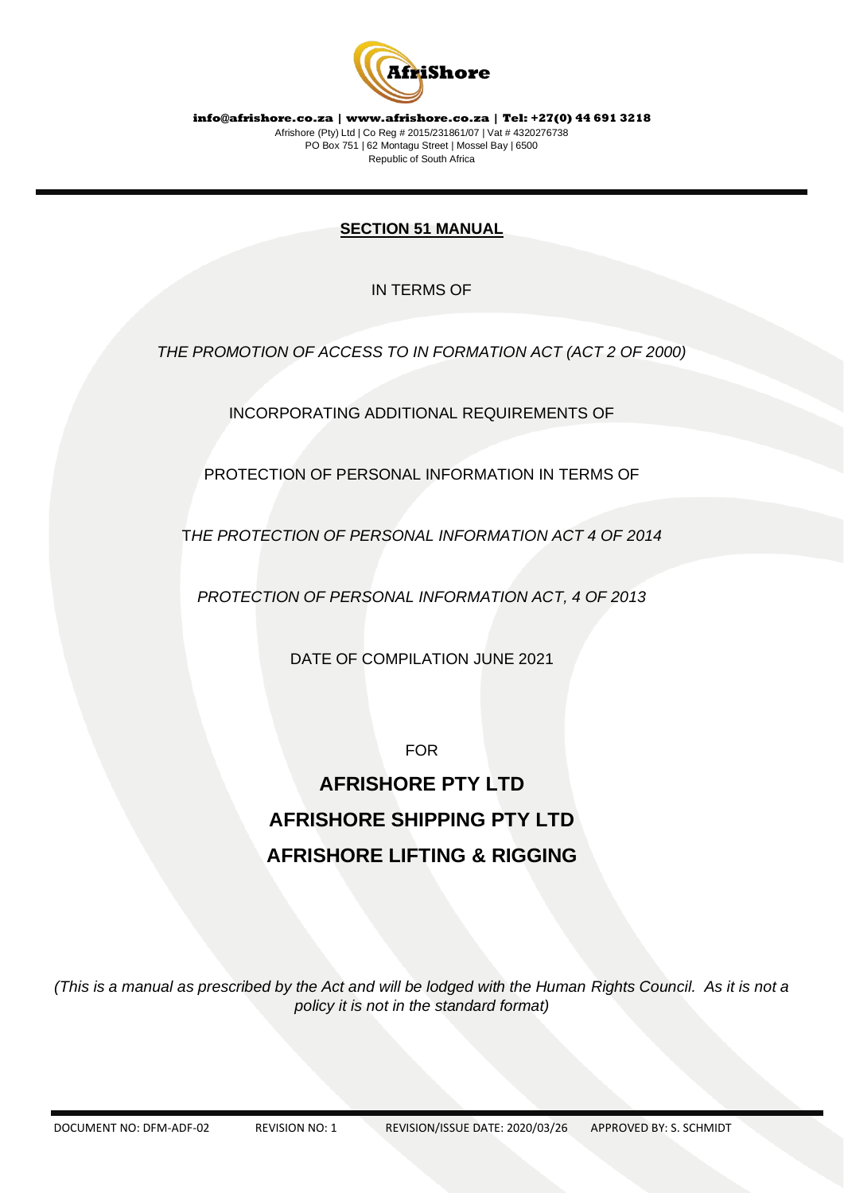

# **SECTION 51 MANUAL**

IN TERMS OF

*THE PROMOTION OF ACCESS TO IN FORMATION ACT (ACT 2 OF 2000)*

INCORPORATING ADDITIONAL REQUIREMENTS OF

PROTECTION OF PERSONAL INFORMATION IN TERMS OF

T*HE PROTECTION OF PERSONAL INFORMATION ACT 4 OF 2014*

*PROTECTION OF PERSONAL INFORMATION ACT, 4 OF 2013*

DATE OF COMPILATION JUNE 2021

FOR

# **AFRISHORE PTY LTD AFRISHORE SHIPPING PTY LTD AFRISHORE LIFTING & RIGGING**

*(This is a manual as prescribed by the Act and will be lodged with the Human Rights Council. As it is not a policy it is not in the standard format)*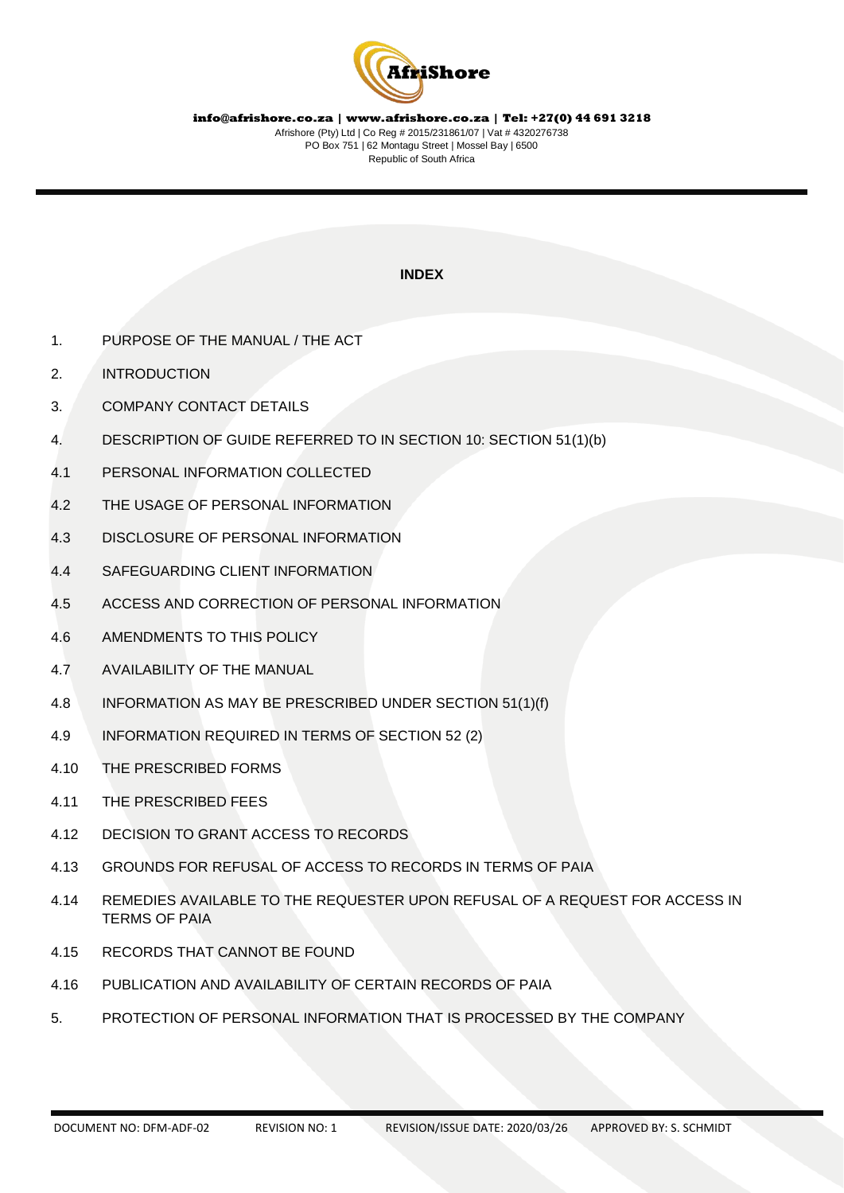

# **INDEX**

- 1. PURPOSE OF THE MANUAL / THE ACT
- 2. INTRODUCTION
- 3. COMPANY CONTACT DETAILS
- 4. DESCRIPTION OF GUIDE REFERRED TO IN SECTION 10: SECTION 51(1)(b)
- 4.1 PERSONAL INFORMATION COLLECTED
- 4.2 THE USAGE OF PERSONAL INFORMATION
- 4.3 DISCLOSURE OF PERSONAL INFORMATION
- 4.4 SAFEGUARDING CLIENT INFORMATION
- 4.5 ACCESS AND CORRECTION OF PERSONAL INFORMATION
- 4.6 AMENDMENTS TO THIS POLICY
- 4.7 AVAILABILITY OF THE MANUAL
- 4.8 INFORMATION AS MAY BE PRESCRIBED UNDER SECTION 51(1)(f)
- 4.9 INFORMATION REQUIRED IN TERMS OF SECTION 52 (2)
- 4.10 THE PRESCRIBED FORMS
- 4.11 THE PRESCRIBED FEES
- 4.12 DECISION TO GRANT ACCESS TO RECORDS
- 4.13 GROUNDS FOR REFUSAL OF ACCESS TO RECORDS IN TERMS OF PAIA
- 4.14 REMEDIES AVAILABLE TO THE REQUESTER UPON REFUSAL OF A REQUEST FOR ACCESS IN TERMS OF PAIA
- 4.15 RECORDS THAT CANNOT BE FOUND
- 4.16 PUBLICATION AND AVAILABILITY OF CERTAIN RECORDS OF PAIA
- 5. PROTECTION OF PERSONAL INFORMATION THAT IS PROCESSED BY THE COMPANY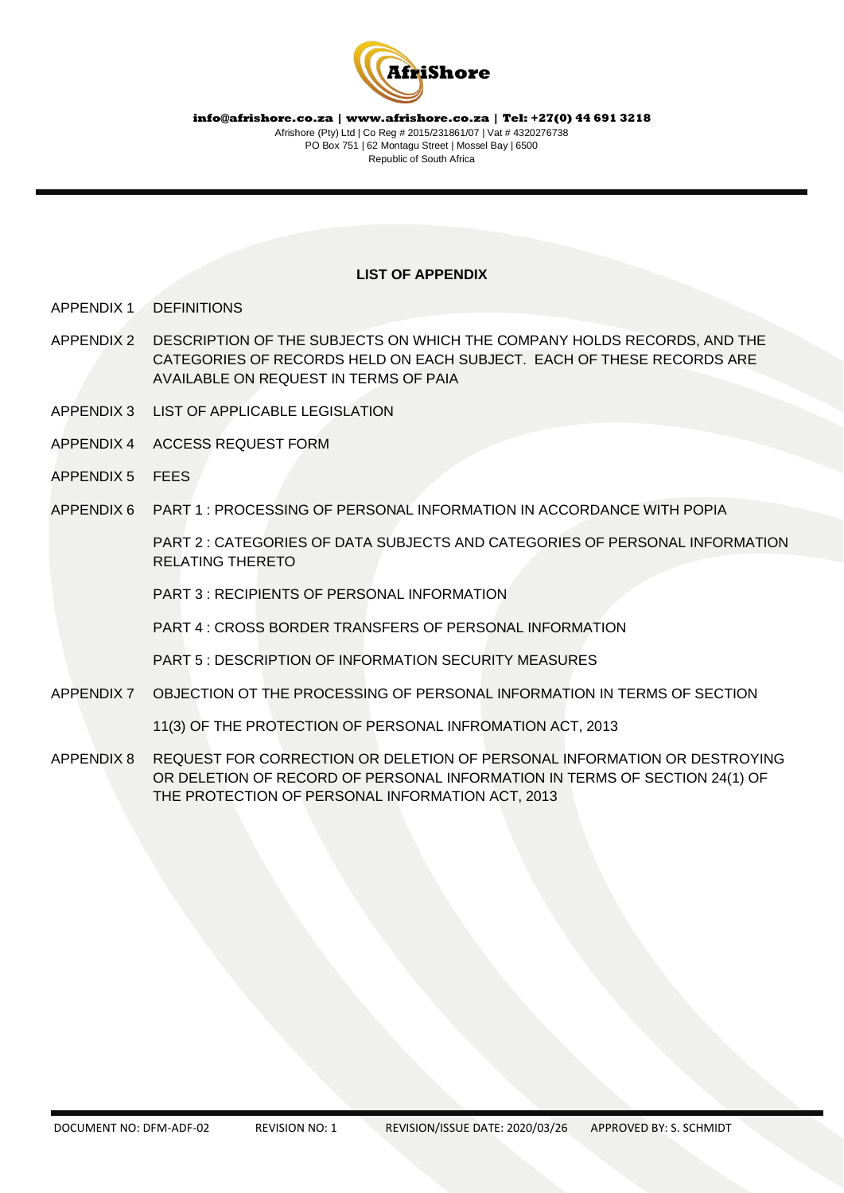

#### **LIST OF APPENDIX**

- APPENDIX 1 DEFINITIONS
- APPENDIX 2 DESCRIPTION OF THE SUBJECTS ON WHICH THE COMPANY HOLDS RECORDS, AND THE CATEGORIES OF RECORDS HELD ON EACH SUBJECT. EACH OF THESE RECORDS ARE AVAILABLE ON REQUEST IN TERMS OF PAIA
- APPENDIX 3 LIST OF APPLICABLE LEGISLATION
- APPENDIX 4 ACCESS REQUEST FORM
- APPENDIX 5 FEES
- APPENDIX 6 PART 1 : PROCESSING OF PERSONAL INFORMATION IN ACCORDANCE WITH POPIA

PART 2 : CATEGORIES OF DATA SUBJECTS AND CATEGORIES OF PERSONAL INFORMATION RELATING THERETO

PART 3 : RECIPIENTS OF PERSONAL INFORMATION

PART 4 : CROSS BORDER TRANSFERS OF PERSONAL INFORMATION

PART 5 : DESCRIPTION OF INFORMATION SECURITY MEASURES

APPENDIX 7 OBJECTION OT THE PROCESSING OF PERSONAL INFORMATION IN TERMS OF SECTION

11(3) OF THE PROTECTION OF PERSONAL INFROMATION ACT, 2013

APPENDIX 8 REQUEST FOR CORRECTION OR DELETION OF PERSONAL INFORMATION OR DESTROYING OR DELETION OF RECORD OF PERSONAL INFORMATION IN TERMS OF SECTION 24(1) OF THE PROTECTION OF PERSONAL INFORMATION ACT, 2013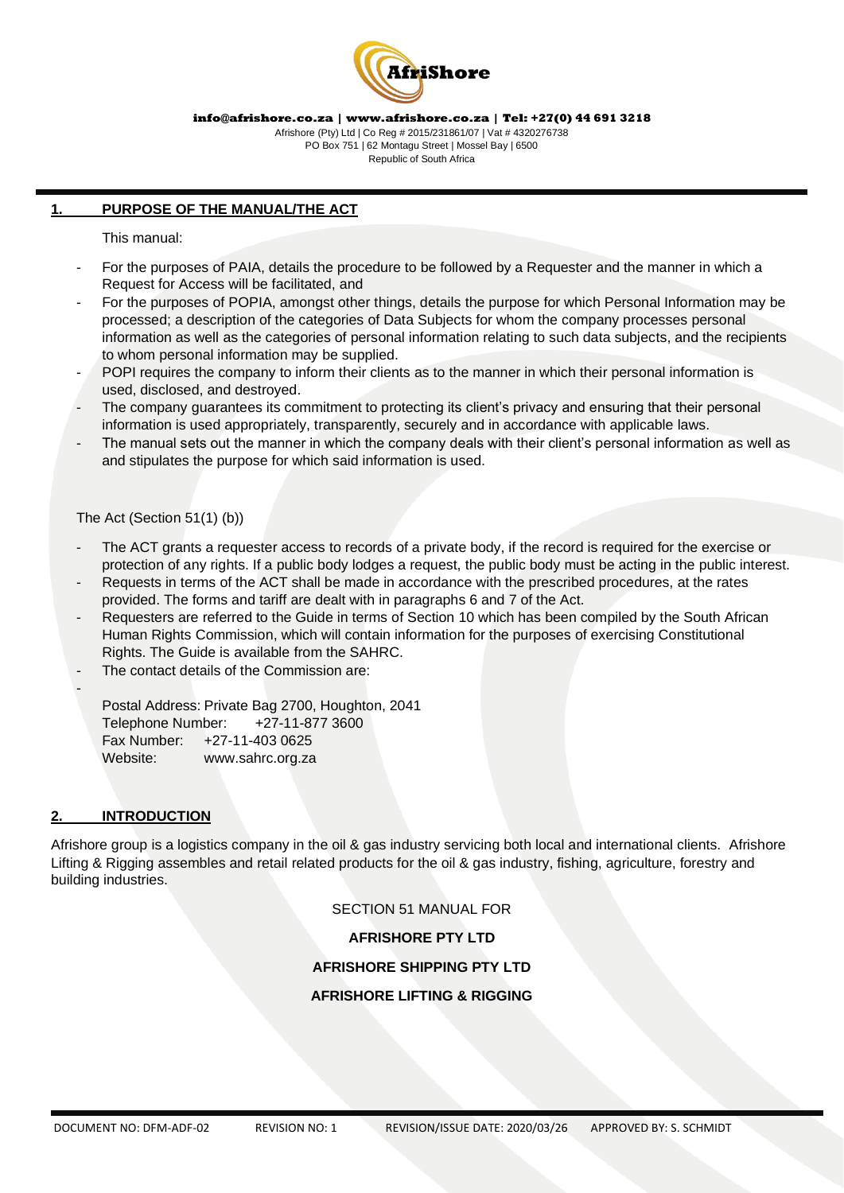

Afrishore (Pty) Ltd | Co Reg # 2015/231861/07 | Vat # 4320276738 PO Box 751 | 62 Montagu Street | Mossel Bay | 6500 Republic of South Africa

# **1. PURPOSE OF THE MANUAL/THE ACT**

This manual:

- For the purposes of PAIA, details the procedure to be followed by a Requester and the manner in which a Request for Access will be facilitated, and
- For the purposes of POPIA, amongst other things, details the purpose for which Personal Information may be processed; a description of the categories of Data Subjects for whom the company processes personal information as well as the categories of personal information relating to such data subjects, and the recipients to whom personal information may be supplied.
- POPI requires the company to inform their clients as to the manner in which their personal information is used, disclosed, and destroyed.
- The company guarantees its commitment to protecting its client's privacy and ensuring that their personal information is used appropriately, transparently, securely and in accordance with applicable laws.
- The manual sets out the manner in which the company deals with their client's personal information as well as and stipulates the purpose for which said information is used.

The Act (Section 51(1) (b))

- The ACT grants a requester access to records of a private body, if the record is required for the exercise or protection of any rights. If a public body lodges a request, the public body must be acting in the public interest.
- Requests in terms of the ACT shall be made in accordance with the prescribed procedures, at the rates provided. The forms and tariff are dealt with in paragraphs 6 and 7 of the Act.
- Requesters are referred to the Guide in terms of Section 10 which has been compiled by the South African Human Rights Commission, which will contain information for the purposes of exercising Constitutional Rights. The Guide is available from the SAHRC.
- The contact details of the Commission are:

Postal Address: Private Bag 2700, Houghton, 2041 Telephone Number: +27-11-877 3600 Fax Number: +27-11-403 0625 Website: www.sahrc.org.za

# **2. INTRODUCTION**

-

Afrishore group is a logistics company in the oil & gas industry servicing both local and international clients. Afrishore Lifting & Rigging assembles and retail related products for the oil & gas industry, fishing, agriculture, forestry and building industries.

SECTION 51 MANUAL FOR

**AFRISHORE PTY LTD**

**AFRISHORE SHIPPING PTY LTD**

**AFRISHORE LIFTING & RIGGING**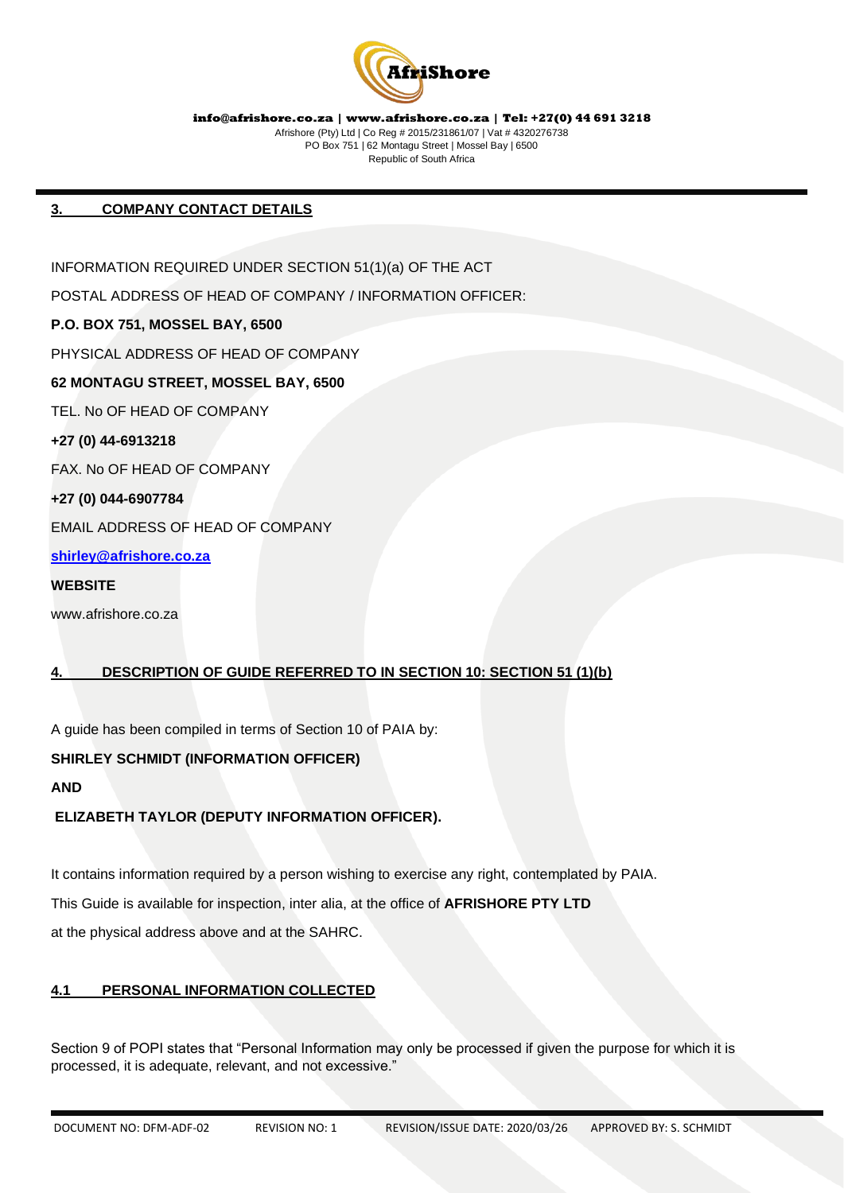

# **3. COMPANY CONTACT DETAILS**

INFORMATION REQUIRED UNDER SECTION 51(1)(a) OF THE ACT POSTAL ADDRESS OF HEAD OF COMPANY / INFORMATION OFFICER: **P.O. BOX 751, MOSSEL BAY, 6500** PHYSICAL ADDRESS OF HEAD OF COMPANY **62 MONTAGU STREET, MOSSEL BAY, 6500** TEL. No OF HEAD OF COMPANY **+27 (0) 44-6913218** FAX. No OF HEAD OF COMPANY **+27 (0) 044-6907784** EMAIL ADDRESS OF HEAD OF COMPANY **[shirley@afrishore.co.za](mailto:shirley@afrishore.co.za) WEBSITE**

www.afrishore.co.za

# **4. DESCRIPTION OF GUIDE REFERRED TO IN SECTION 10: SECTION 51 (1)(b)**

A guide has been compiled in terms of Section 10 of PAIA by:

# **SHIRLEY SCHMIDT (INFORMATION OFFICER)**

**AND**

# **ELIZABETH TAYLOR (DEPUTY INFORMATION OFFICER).**

It contains information required by a person wishing to exercise any right, contemplated by PAIA. This Guide is available for inspection, inter alia, at the office of **AFRISHORE PTY LTD** at the physical address above and at the SAHRC.

# **4.1 PERSONAL INFORMATION COLLECTED**

Section 9 of POPI states that "Personal Information may only be processed if given the purpose for which it is processed, it is adequate, relevant, and not excessive."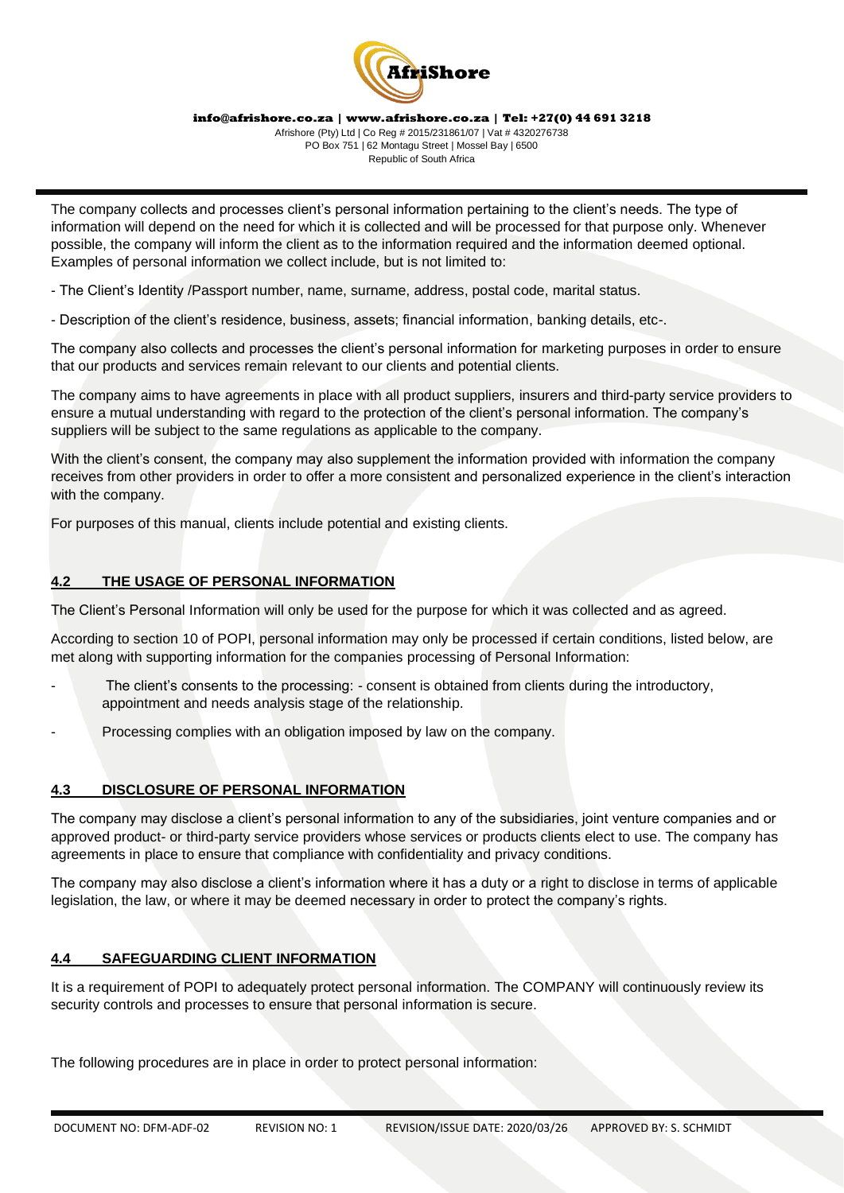

Afrishore (Pty) Ltd | Co Reg # 2015/231861/07 | Vat # 4320276738 PO Box 751 | 62 Montagu Street | Mossel Bay | 6500 Republic of South Africa

The company collects and processes client's personal information pertaining to the client's needs. The type of information will depend on the need for which it is collected and will be processed for that purpose only. Whenever possible, the company will inform the client as to the information required and the information deemed optional. Examples of personal information we collect include, but is not limited to:

- The Client's Identity /Passport number, name, surname, address, postal code, marital status.

- Description of the client's residence, business, assets; financial information, banking details, etc-.

The company also collects and processes the client's personal information for marketing purposes in order to ensure that our products and services remain relevant to our clients and potential clients.

The company aims to have agreements in place with all product suppliers, insurers and third-party service providers to ensure a mutual understanding with regard to the protection of the client's personal information. The company's suppliers will be subject to the same regulations as applicable to the company.

With the client's consent, the company may also supplement the information provided with information the company receives from other providers in order to offer a more consistent and personalized experience in the client's interaction with the company.

For purposes of this manual, clients include potential and existing clients.

# **4.2 THE USAGE OF PERSONAL INFORMATION**

The Client's Personal Information will only be used for the purpose for which it was collected and as agreed.

According to section 10 of POPI, personal information may only be processed if certain conditions, listed below, are met along with supporting information for the companies processing of Personal Information:

- The client's consents to the processing: consent is obtained from clients during the introductory, appointment and needs analysis stage of the relationship.
- Processing complies with an obligation imposed by law on the company.

# **4.3 DISCLOSURE OF PERSONAL INFORMATION**

The company may disclose a client's personal information to any of the subsidiaries, joint venture companies and or approved product- or third-party service providers whose services or products clients elect to use. The company has agreements in place to ensure that compliance with confidentiality and privacy conditions.

The company may also disclose a client's information where it has a duty or a right to disclose in terms of applicable legislation, the law, or where it may be deemed necessary in order to protect the company's rights.

# **4.4 SAFEGUARDING CLIENT INFORMATION**

It is a requirement of POPI to adequately protect personal information. The COMPANY will continuously review its security controls and processes to ensure that personal information is secure.

The following procedures are in place in order to protect personal information: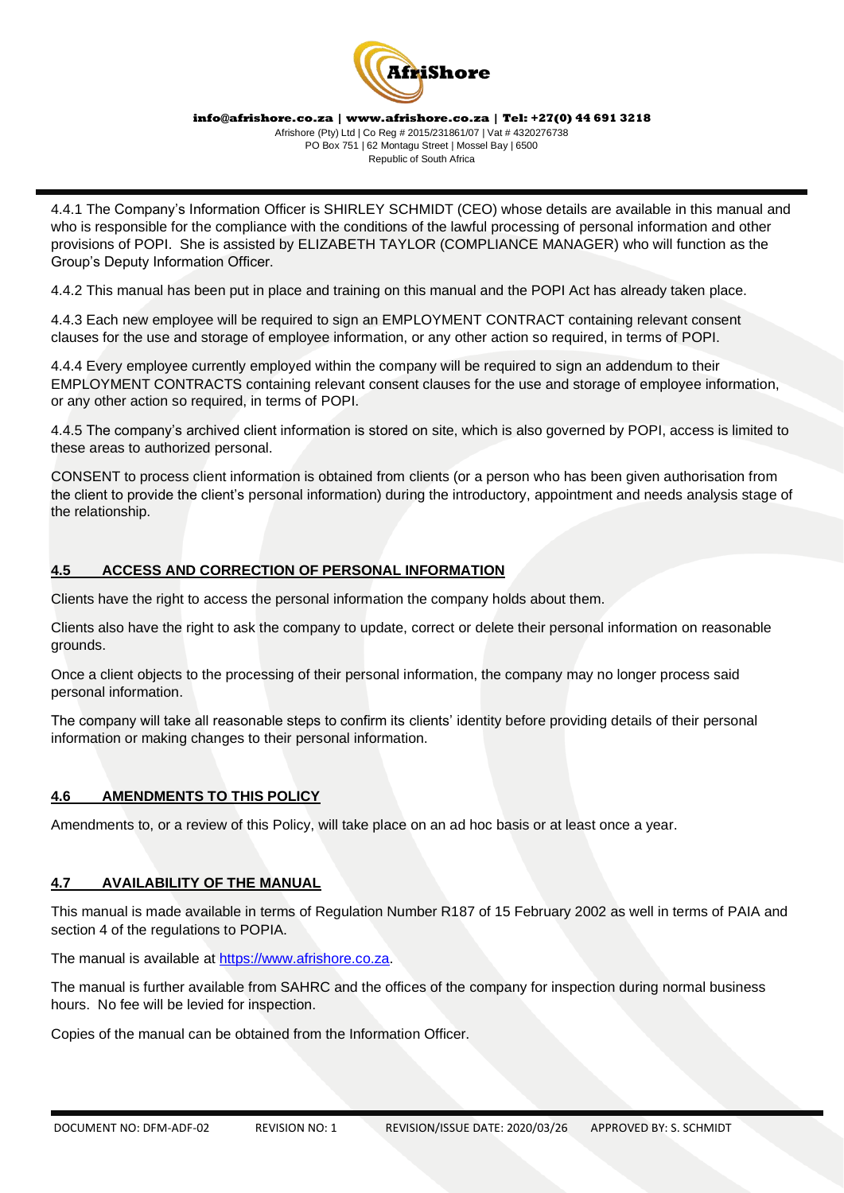

Afrishore (Pty) Ltd | Co Reg # 2015/231861/07 | Vat # 4320276738 PO Box 751 | 62 Montagu Street | Mossel Bay | 6500 Republic of South Africa

4.4.1 The Company's Information Officer is SHIRLEY SCHMIDT (CEO) whose details are available in this manual and who is responsible for the compliance with the conditions of the lawful processing of personal information and other provisions of POPI. She is assisted by ELIZABETH TAYLOR (COMPLIANCE MANAGER) who will function as the Group's Deputy Information Officer.

4.4.2 This manual has been put in place and training on this manual and the POPI Act has already taken place.

4.4.3 Each new employee will be required to sign an EMPLOYMENT CONTRACT containing relevant consent clauses for the use and storage of employee information, or any other action so required, in terms of POPI.

4.4.4 Every employee currently employed within the company will be required to sign an addendum to their EMPLOYMENT CONTRACTS containing relevant consent clauses for the use and storage of employee information, or any other action so required, in terms of POPI.

4.4.5 The company's archived client information is stored on site, which is also governed by POPI, access is limited to these areas to authorized personal.

CONSENT to process client information is obtained from clients (or a person who has been given authorisation from the client to provide the client's personal information) during the introductory, appointment and needs analysis stage of the relationship.

# **4.5 ACCESS AND CORRECTION OF PERSONAL INFORMATION**

Clients have the right to access the personal information the company holds about them.

Clients also have the right to ask the company to update, correct or delete their personal information on reasonable grounds.

Once a client objects to the processing of their personal information, the company may no longer process said personal information.

The company will take all reasonable steps to confirm its clients' identity before providing details of their personal information or making changes to their personal information.

# **4.6 AMENDMENTS TO THIS POLICY**

Amendments to, or a review of this Policy, will take place on an ad hoc basis or at least once a year.

# **4.7 AVAILABILITY OF THE MANUAL**

This manual is made available in terms of Regulation Number R187 of 15 February 2002 as well in terms of PAIA and section 4 of the regulations to POPIA.

The manual is available at [https://www.afrishore.co.za.](https://www.afrishore.co.za/)

The manual is further available from SAHRC and the offices of the company for inspection during normal business hours. No fee will be levied for inspection.

Copies of the manual can be obtained from the Information Officer.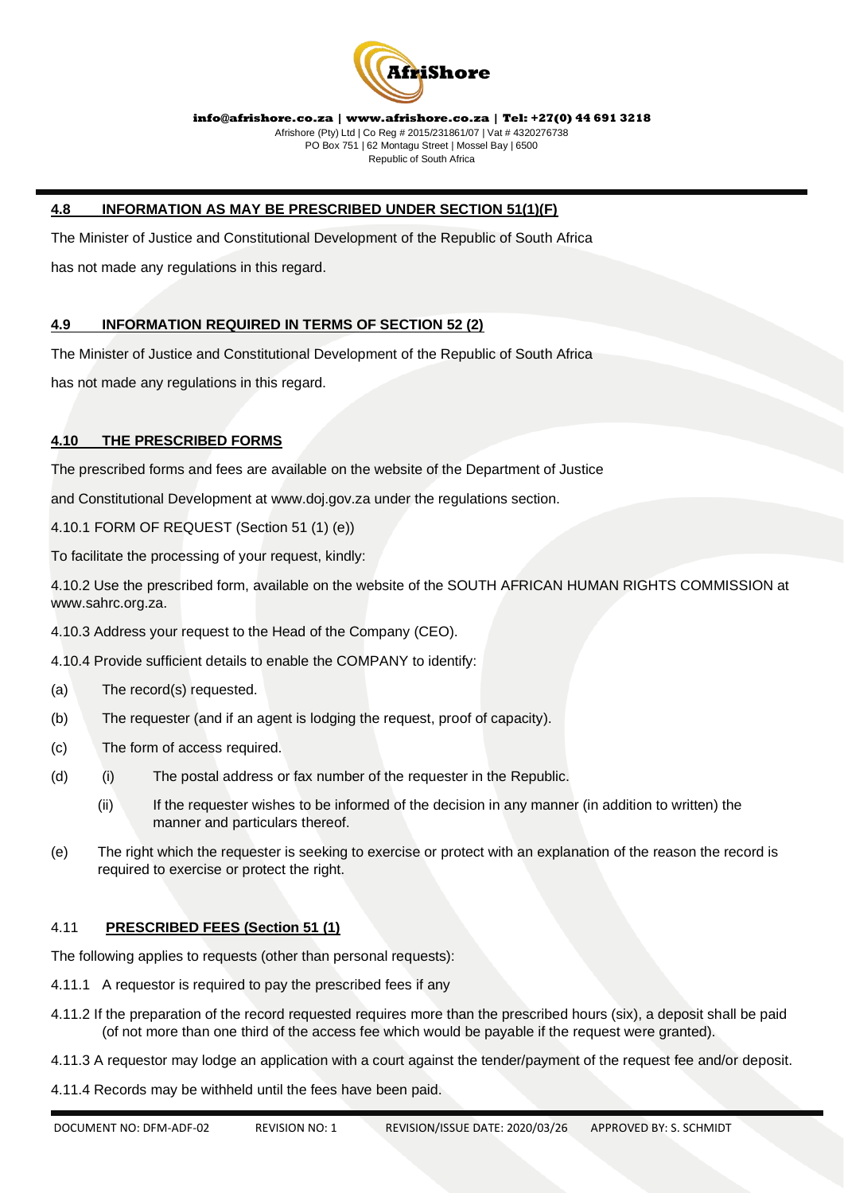

# **4.8 INFORMATION AS MAY BE PRESCRIBED UNDER SECTION 51(1)(F)**

The Minister of Justice and Constitutional Development of the Republic of South Africa has not made any regulations in this regard.

# **4.9 INFORMATION REQUIRED IN TERMS OF SECTION 52 (2)**

The Minister of Justice and Constitutional Development of the Republic of South Africa

has not made any regulations in this regard.

# **4.10 THE PRESCRIBED FORMS**

The prescribed forms and fees are available on the website of the Department of Justice

and Constitutional Development at www.doj.gov.za under the regulations section.

4.10.1 FORM OF REQUEST (Section 51 (1) (e))

To facilitate the processing of your request, kindly:

4.10.2 Use the prescribed form, available on the website of the SOUTH AFRICAN HUMAN RIGHTS COMMISSION at www.sahrc.org.za.

- 4.10.3 Address your request to the Head of the Company (CEO).
- 4.10.4 Provide sufficient details to enable the COMPANY to identify:
- (a) The record(s) requested.
- (b) The requester (and if an agent is lodging the request, proof of capacity).
- (c) The form of access required.
- (d) (i) The postal address or fax number of the requester in the Republic.
	- (ii) If the requester wishes to be informed of the decision in any manner (in addition to written) the manner and particulars thereof.
- (e) The right which the requester is seeking to exercise or protect with an explanation of the reason the record is required to exercise or protect the right.

# 4.11 **PRESCRIBED FEES (Section 51 (1)**

The following applies to requests (other than personal requests):

- 4.11.1 A requestor is required to pay the prescribed fees if any
- 4.11.2 If the preparation of the record requested requires more than the prescribed hours (six), a deposit shall be paid (of not more than one third of the access fee which would be payable if the request were granted).
- 4.11.3 A requestor may lodge an application with a court against the tender/payment of the request fee and/or deposit.
- 4.11.4 Records may be withheld until the fees have been paid.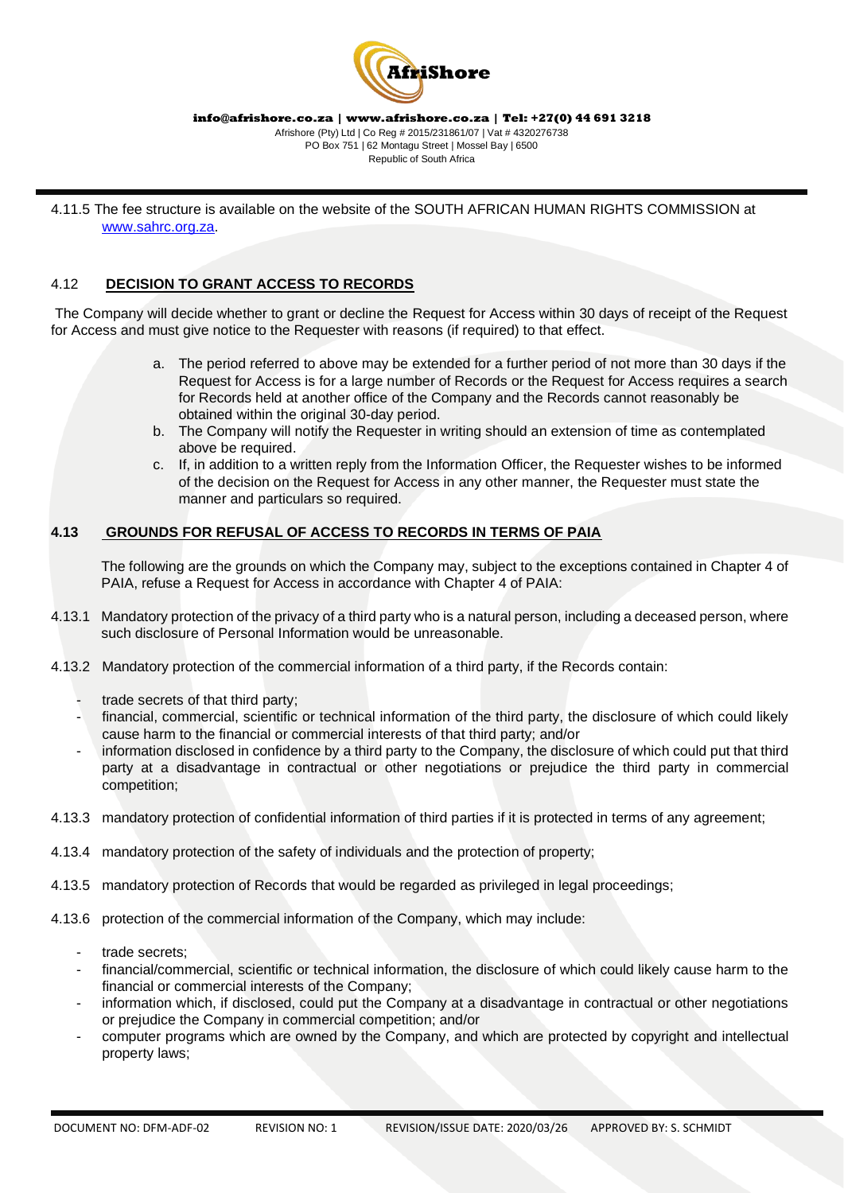

4.11.5 The fee structure is available on the website of the SOUTH AFRICAN HUMAN RIGHTS COMMISSION at [www.sahrc.org.za.](http://www.sahrc.org.za/)

# 4.12 **DECISION TO GRANT ACCESS TO RECORDS**

The Company will decide whether to grant or decline the Request for Access within 30 days of receipt of the Request for Access and must give notice to the Requester with reasons (if required) to that effect.

- a. The period referred to above may be extended for a further period of not more than 30 days if the Request for Access is for a large number of Records or the Request for Access requires a search for Records held at another office of the Company and the Records cannot reasonably be obtained within the original 30-day period.
- b. The Company will notify the Requester in writing should an extension of time as contemplated above be required.
- c. If, in addition to a written reply from the Information Officer, the Requester wishes to be informed of the decision on the Request for Access in any other manner, the Requester must state the manner and particulars so required.

# **4.13 GROUNDS FOR REFUSAL OF ACCESS TO RECORDS IN TERMS OF PAIA**

The following are the grounds on which the Company may, subject to the exceptions contained in Chapter 4 of PAIA, refuse a Request for Access in accordance with Chapter 4 of PAIA:

- 4.13.1 Mandatory protection of the privacy of a third party who is a natural person, including a deceased person, where such disclosure of Personal Information would be unreasonable.
- 4.13.2 Mandatory protection of the commercial information of a third party, if the Records contain:
	- trade secrets of that third party;
	- financial, commercial, scientific or technical information of the third party, the disclosure of which could likely cause harm to the financial or commercial interests of that third party; and/or
	- information disclosed in confidence by a third party to the Company, the disclosure of which could put that third party at a disadvantage in contractual or other negotiations or prejudice the third party in commercial competition;
- 4.13.3 mandatory protection of confidential information of third parties if it is protected in terms of any agreement;
- 4.13.4 mandatory protection of the safety of individuals and the protection of property;
- 4.13.5 mandatory protection of Records that would be regarded as privileged in legal proceedings;
- 4.13.6 protection of the commercial information of the Company, which may include:
	- trade secrets:
	- financial/commercial, scientific or technical information, the disclosure of which could likely cause harm to the financial or commercial interests of the Company;
	- information which, if disclosed, could put the Company at a disadvantage in contractual or other negotiations or prejudice the Company in commercial competition; and/or
	- computer programs which are owned by the Company, and which are protected by copyright and intellectual property laws;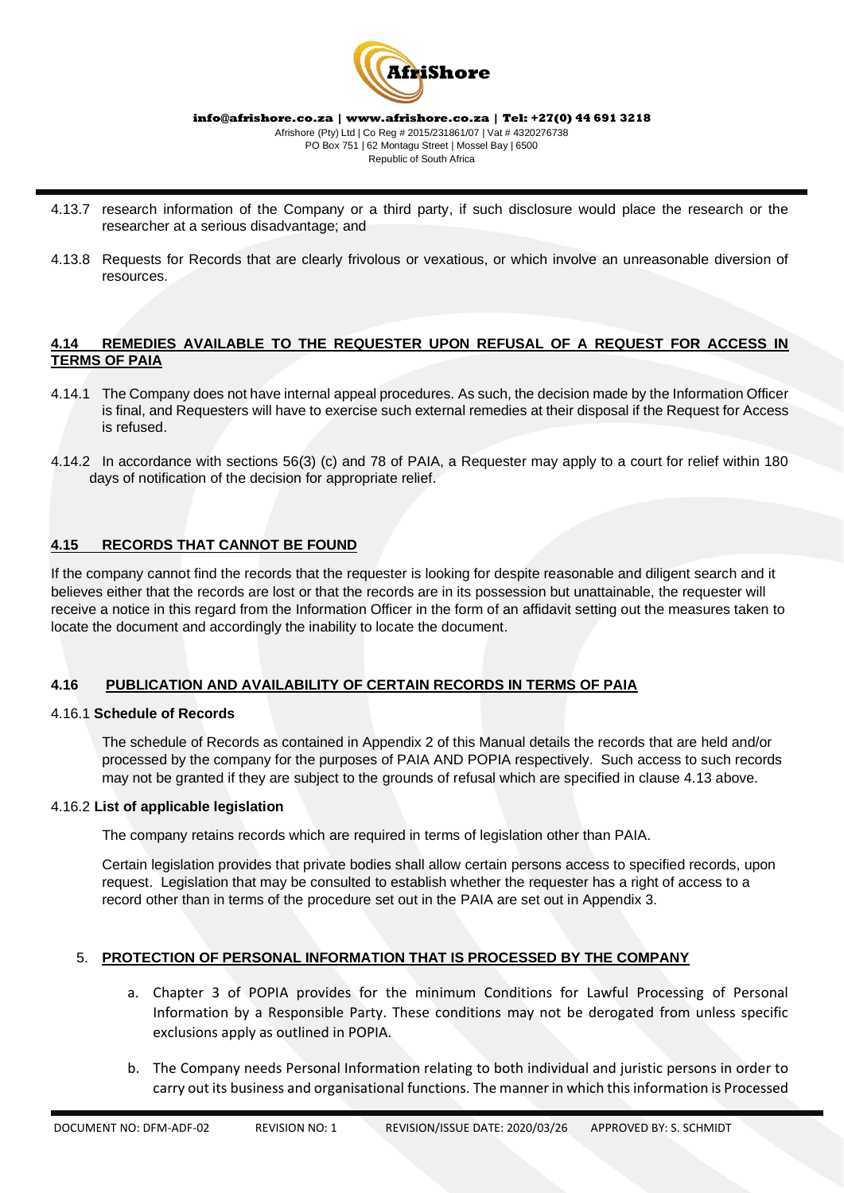

Republic of South Africa

- 4.13.7 research information of the Company or a third party, if such disclosure would place the research or the researcher at a serious disadvantage; and
- 4.13.8 Requests for Records that are clearly frivolous or vexatious, or which involve an unreasonable diversion of resources.

# **4.14 REMEDIES AVAILABLE TO THE REQUESTER UPON REFUSAL OF A REQUEST FOR ACCESS IN TERMS OF PAIA**

- 4.14.1 The Company does not have internal appeal procedures. As such, the decision made by the Information Officer is final, and Requesters will have to exercise such external remedies at their disposal if the Request for Access is refused.
- 4.14.2 In accordance with sections 56(3) (c) and 78 of PAIA, a Requester may apply to a court for relief within 180 days of notification of the decision for appropriate relief.

# **4.15 RECORDS THAT CANNOT BE FOUND**

If the company cannot find the records that the requester is looking for despite reasonable and diligent search and it believes either that the records are lost or that the records are in its possession but unattainable, the requester will receive a notice in this regard from the Information Officer in the form of an affidavit setting out the measures taken to locate the document and accordingly the inability to locate the document.

# **4.16 PUBLICATION AND AVAILABILITY OF CERTAIN RECORDS IN TERMS OF PAIA**

# 4.16.1 **Schedule of Records**

The schedule of Records as contained in Appendix 2 of this Manual details the records that are held and/or processed by the company for the purposes of PAIA AND POPIA respectively. Such access to such records may not be granted if they are subject to the grounds of refusal which are specified in clause 4.13 above.

# 4.16.2 **List of applicable legislation**

The company retains records which are required in terms of legislation other than PAIA.

Certain legislation provides that private bodies shall allow certain persons access to specified records, upon request. Legislation that may be consulted to establish whether the requester has a right of access to a record other than in terms of the procedure set out in the PAIA are set out in Appendix 3.

# 5. **PROTECTION OF PERSONAL INFORMATION THAT IS PROCESSED BY THE COMPANY**

- a. Chapter 3 of POPIA provides for the minimum Conditions for Lawful Processing of Personal Information by a Responsible Party. These conditions may not be derogated from unless specific exclusions apply as outlined in POPIA.
- b. The Company needs Personal Information relating to both individual and juristic persons in order to carry out its business and organisational functions. The manner in which this information is Processed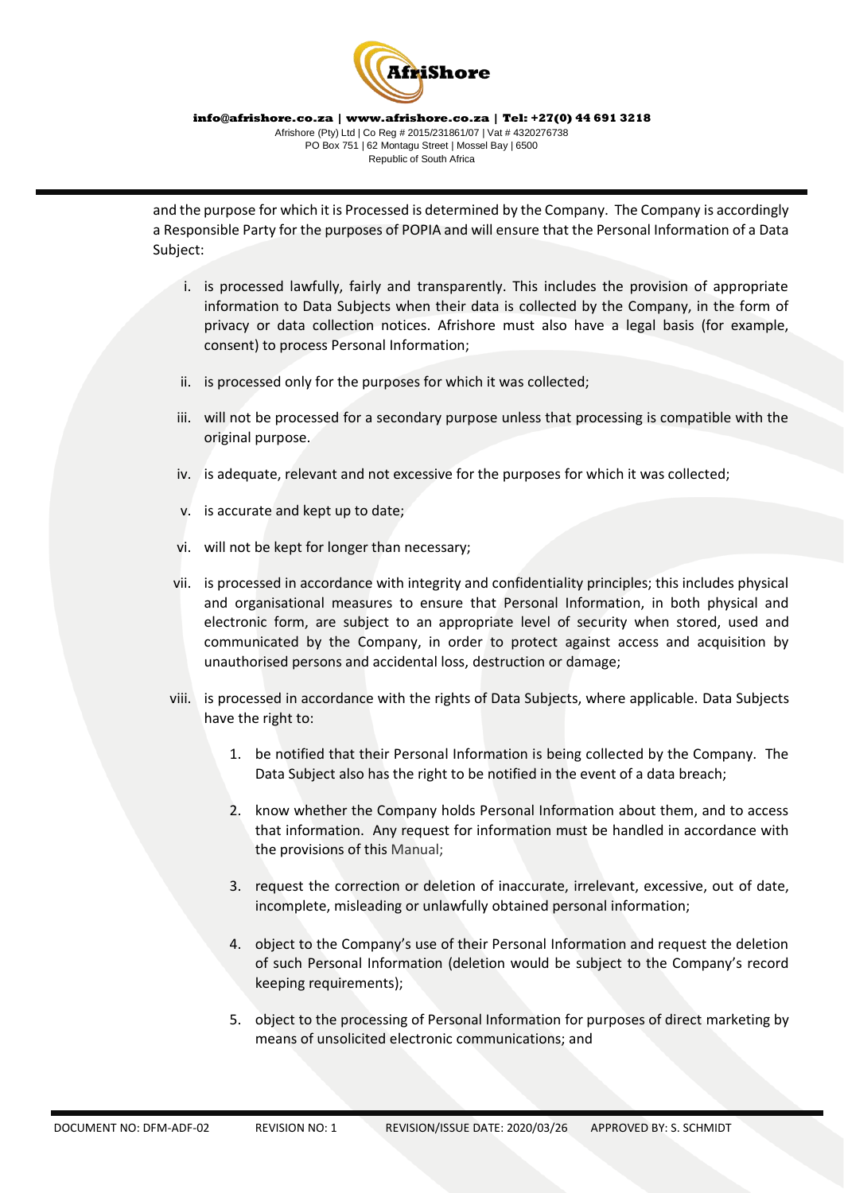

and the purpose for which it is Processed is determined by the Company. The Company is accordingly a Responsible Party for the purposes of POPIA and will ensure that the Personal Information of a Data Subject:

- i. is processed lawfully, fairly and transparently. This includes the provision of appropriate information to Data Subjects when their data is collected by the Company, in the form of privacy or data collection notices. Afrishore must also have a legal basis (for example, consent) to process Personal Information;
- ii. is processed only for the purposes for which it was collected;
- iii. will not be processed for a secondary purpose unless that processing is compatible with the original purpose.
- iv. is adequate, relevant and not excessive for the purposes for which it was collected;
- v. is accurate and kept up to date;
- vi. will not be kept for longer than necessary;
- vii. is processed in accordance with integrity and confidentiality principles; this includes physical and organisational measures to ensure that Personal Information, in both physical and electronic form, are subject to an appropriate level of security when stored, used and communicated by the Company, in order to protect against access and acquisition by unauthorised persons and accidental loss, destruction or damage;
- viii. is processed in accordance with the rights of Data Subjects, where applicable. Data Subjects have the right to:
	- 1. be notified that their Personal Information is being collected by the Company. The Data Subject also has the right to be notified in the event of a data breach;
	- 2. know whether the Company holds Personal Information about them, and to access that information. Any request for information must be handled in accordance with the provisions of this Manual;
	- 3. request the correction or deletion of inaccurate, irrelevant, excessive, out of date, incomplete, misleading or unlawfully obtained personal information;
	- 4. object to the Company's use of their Personal Information and request the deletion of such Personal Information (deletion would be subject to the Company's record keeping requirements);
	- 5. object to the processing of Personal Information for purposes of direct marketing by means of unsolicited electronic communications; and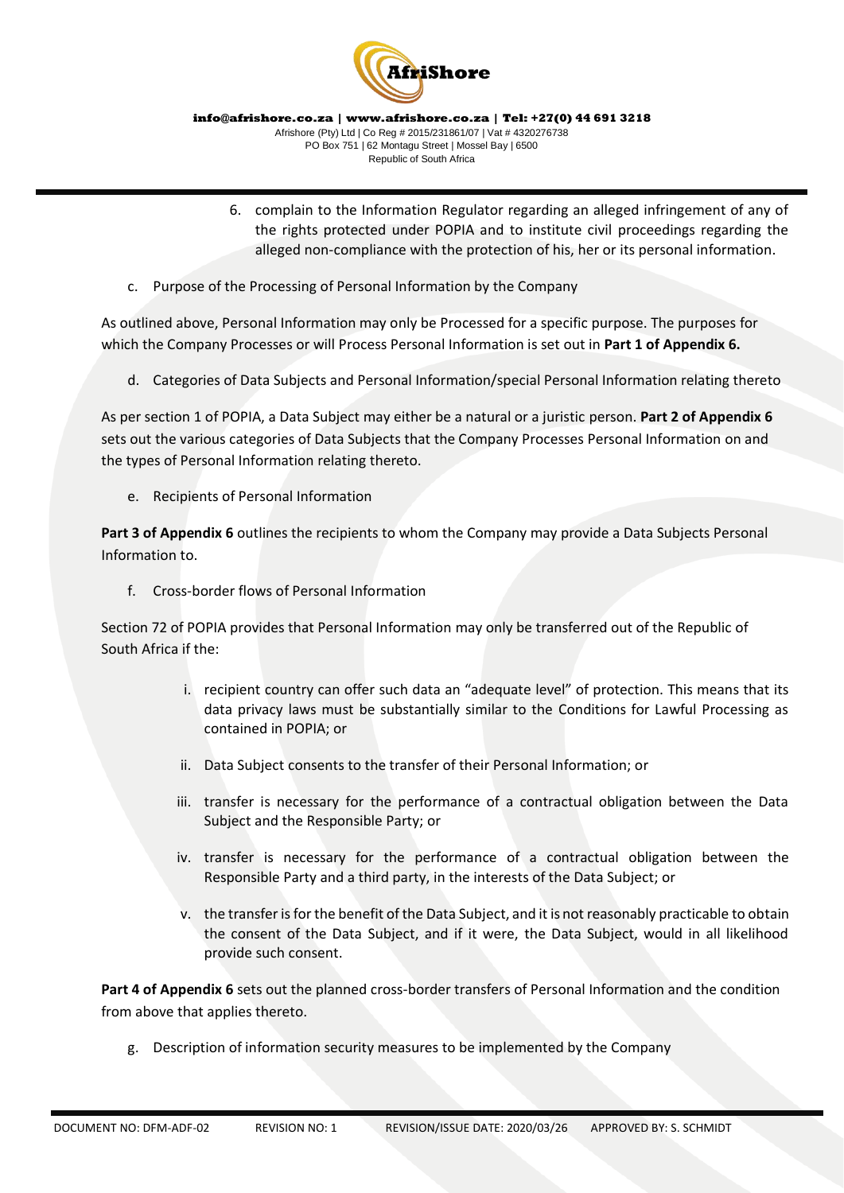

- 6. complain to the Information Regulator regarding an alleged infringement of any of the rights protected under POPIA and to institute civil proceedings regarding the alleged non-compliance with the protection of his, her or its personal information.
- c. Purpose of the Processing of Personal Information by the Company

As outlined above, Personal Information may only be Processed for a specific purpose. The purposes for which the Company Processes or will Process Personal Information is set out in **Part 1 of Appendix 6.** 

d. Categories of Data Subjects and Personal Information/special Personal Information relating thereto

As per section 1 of POPIA, a Data Subject may either be a natural or a juristic person. **Part 2 of Appendix 6**  sets out the various categories of Data Subjects that the Company Processes Personal Information on and the types of Personal Information relating thereto.

e. Recipients of Personal Information

**Part 3 of Appendix 6** outlines the recipients to whom the Company may provide a Data Subjects Personal Information to.

f. Cross-border flows of Personal Information

Section 72 of POPIA provides that Personal Information may only be transferred out of the Republic of South Africa if the:

- i. recipient country can offer such data an "adequate level" of protection. This means that its data privacy laws must be substantially similar to the Conditions for Lawful Processing as contained in POPIA; or
- ii. Data Subject consents to the transfer of their Personal Information; or
- iii. transfer is necessary for the performance of a contractual obligation between the Data Subject and the Responsible Party; or
- iv. transfer is necessary for the performance of a contractual obligation between the Responsible Party and a third party, in the interests of the Data Subject; or
- v. the transfer is for the benefit of the Data Subject, and it is not reasonably practicable to obtain the consent of the Data Subject, and if it were, the Data Subject, would in all likelihood provide such consent.

**Part 4 of Appendix 6** sets out the planned cross-border transfers of Personal Information and the condition from above that applies thereto.

g. Description of information security measures to be implemented by the Company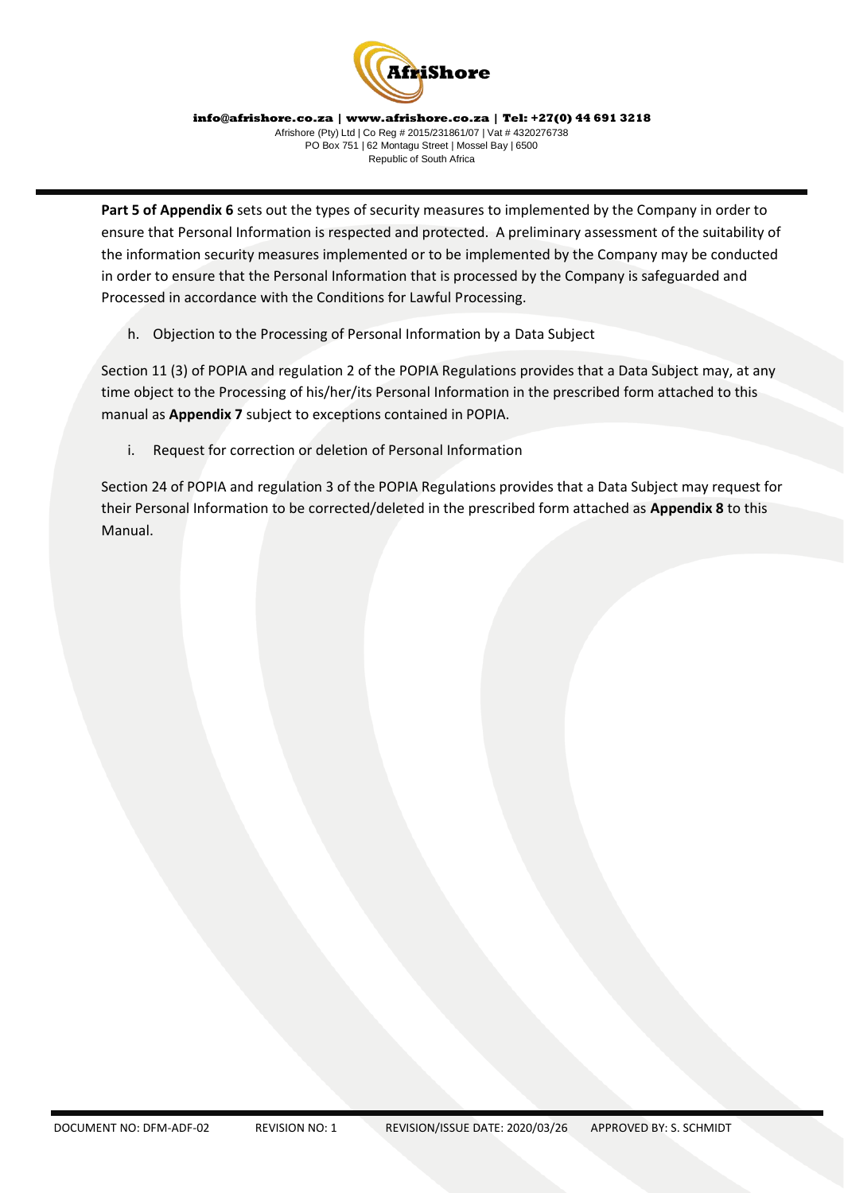

**Part 5 of Appendix 6** sets out the types of security measures to implemented by the Company in order to ensure that Personal Information is respected and protected. A preliminary assessment of the suitability of the information security measures implemented or to be implemented by the Company may be conducted in order to ensure that the Personal Information that is processed by the Company is safeguarded and Processed in accordance with the Conditions for Lawful Processing.

h. Objection to the Processing of Personal Information by a Data Subject

Section 11 (3) of POPIA and regulation 2 of the POPIA Regulations provides that a Data Subject may, at any time object to the Processing of his/her/its Personal Information in the prescribed form attached to this manual as **Appendix 7** subject to exceptions contained in POPIA.

i. Request for correction or deletion of Personal Information

Section 24 of POPIA and regulation 3 of the POPIA Regulations provides that a Data Subject may request for their Personal Information to be corrected/deleted in the prescribed form attached as **Appendix 8** to this Manual.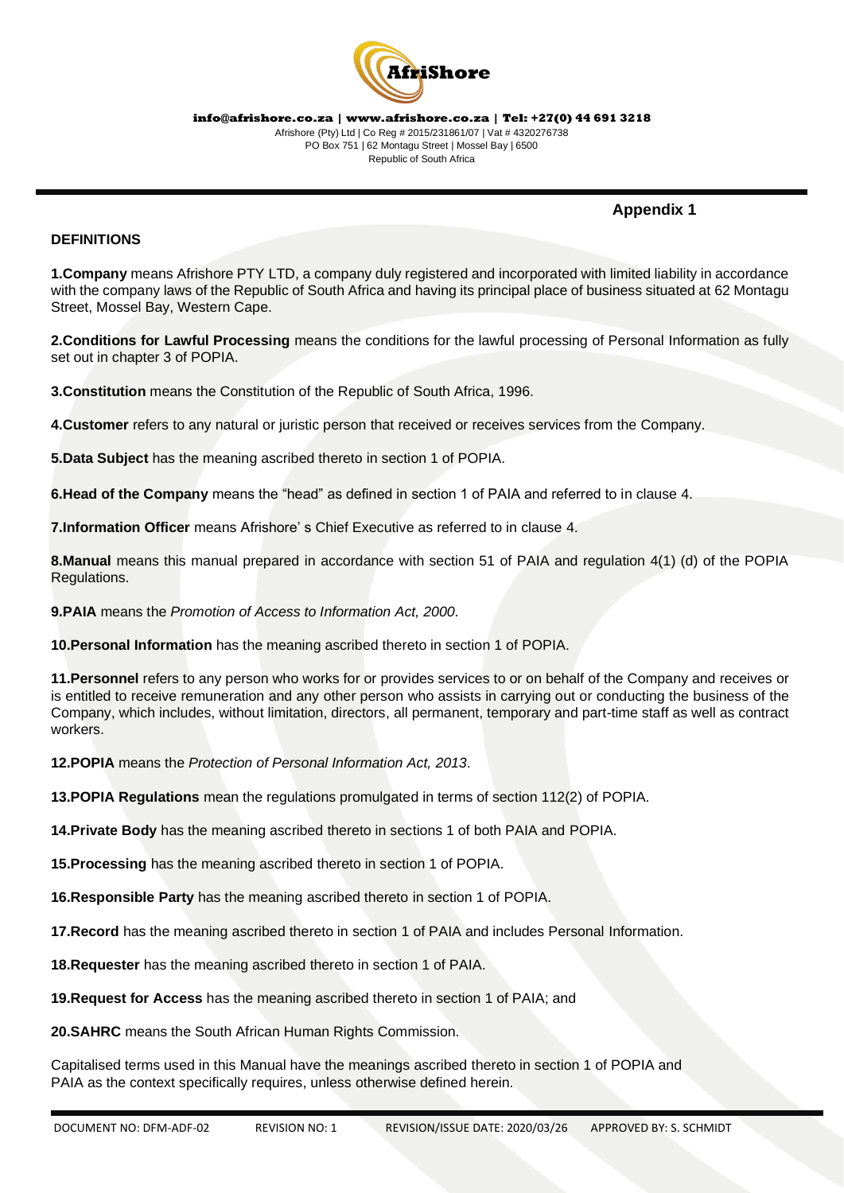

# **Appendix 1**

# **DEFINITIONS**

**1.Company** means Afrishore PTY LTD, a company duly registered and incorporated with limited liability in accordance with the company laws of the Republic of South Africa and having its principal place of business situated at 62 Montagu Street, Mossel Bay, Western Cape.

**2.Conditions for Lawful Processing** means the conditions for the lawful processing of Personal Information as fully set out in chapter 3 of POPIA.

**3.Constitution** means the Constitution of the Republic of South Africa, 1996.

**4.Customer** refers to any natural or juristic person that received or receives services from the Company.

**5.Data Subject** has the meaning ascribed thereto in section 1 of POPIA.

**6.Head of the Company** means the "head" as defined in section 1 of PAIA and referred to in clause 4.

**7.Information Officer** means Afrishore' s Chief Executive as referred to in clause 4.

**8.Manual** means this manual prepared in accordance with section 51 of PAIA and regulation 4(1) (d) of the POPIA Regulations.

**9.PAIA** means the *Promotion of Access to Information Act, 2000*.

**10.Personal Information** has the meaning ascribed thereto in section 1 of POPIA.

**11.Personnel** refers to any person who works for or provides services to or on behalf of the Company and receives or is entitled to receive remuneration and any other person who assists in carrying out or conducting the business of the Company, which includes, without limitation, directors, all permanent, temporary and part-time staff as well as contract workers.

**12.POPIA** means the *Protection of Personal Information Act, 2013*.

**13.POPIA Regulations** mean the regulations promulgated in terms of section 112(2) of POPIA.

**14.Private Body** has the meaning ascribed thereto in sections 1 of both PAIA and POPIA.

**15.Processing** has the meaning ascribed thereto in section 1 of POPIA.

**16.Responsible Party** has the meaning ascribed thereto in section 1 of POPIA.

**17.Record** has the meaning ascribed thereto in section 1 of PAIA and includes Personal Information.

**18.Requester** has the meaning ascribed thereto in section 1 of PAIA.

**19.Request for Access** has the meaning ascribed thereto in section 1 of PAIA; and

**20.SAHRC** means the South African Human Rights Commission.

Capitalised terms used in this Manual have the meanings ascribed thereto in section 1 of POPIA and PAIA as the context specifically requires, unless otherwise defined herein.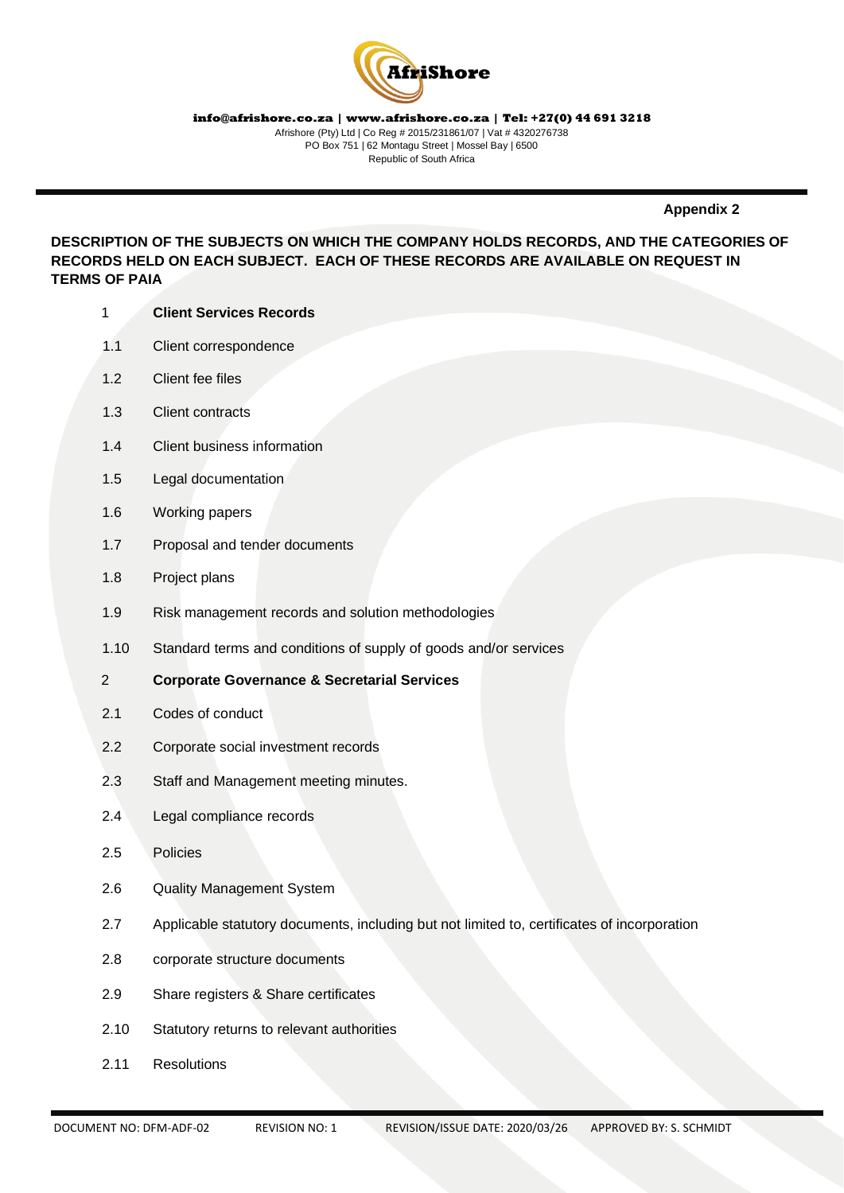

**Appendix 2**

**DESCRIPTION OF THE SUBJECTS ON WHICH THE COMPANY HOLDS RECORDS, AND THE CATEGORIES OF RECORDS HELD ON EACH SUBJECT. EACH OF THESE RECORDS ARE AVAILABLE ON REQUEST IN TERMS OF PAIA**

- 1 **Client Services Records**
- 1.1 Client correspondence
- 1.2 Client fee files
- 1.3 Client contracts
- 1.4 Client business information
- 1.5 Legal documentation
- 1.6 Working papers
- 1.7 Proposal and tender documents
- 1.8 Project plans
- 1.9 Risk management records and solution methodologies
- 1.10 Standard terms and conditions of supply of goods and/or services

#### 2 **Corporate Governance & Secretarial Services**

- 2.1 Codes of conduct
- 2.2 Corporate social investment records
- 2.3 Staff and Management meeting minutes.
- 2.4 Legal compliance records
- 2.5 Policies
- 2.6 Quality Management System
- 2.7 Applicable statutory documents, including but not limited to, certificates of incorporation
- 2.8 corporate structure documents
- 2.9 Share registers & Share certificates
- 2.10 Statutory returns to relevant authorities
- 2.11 Resolutions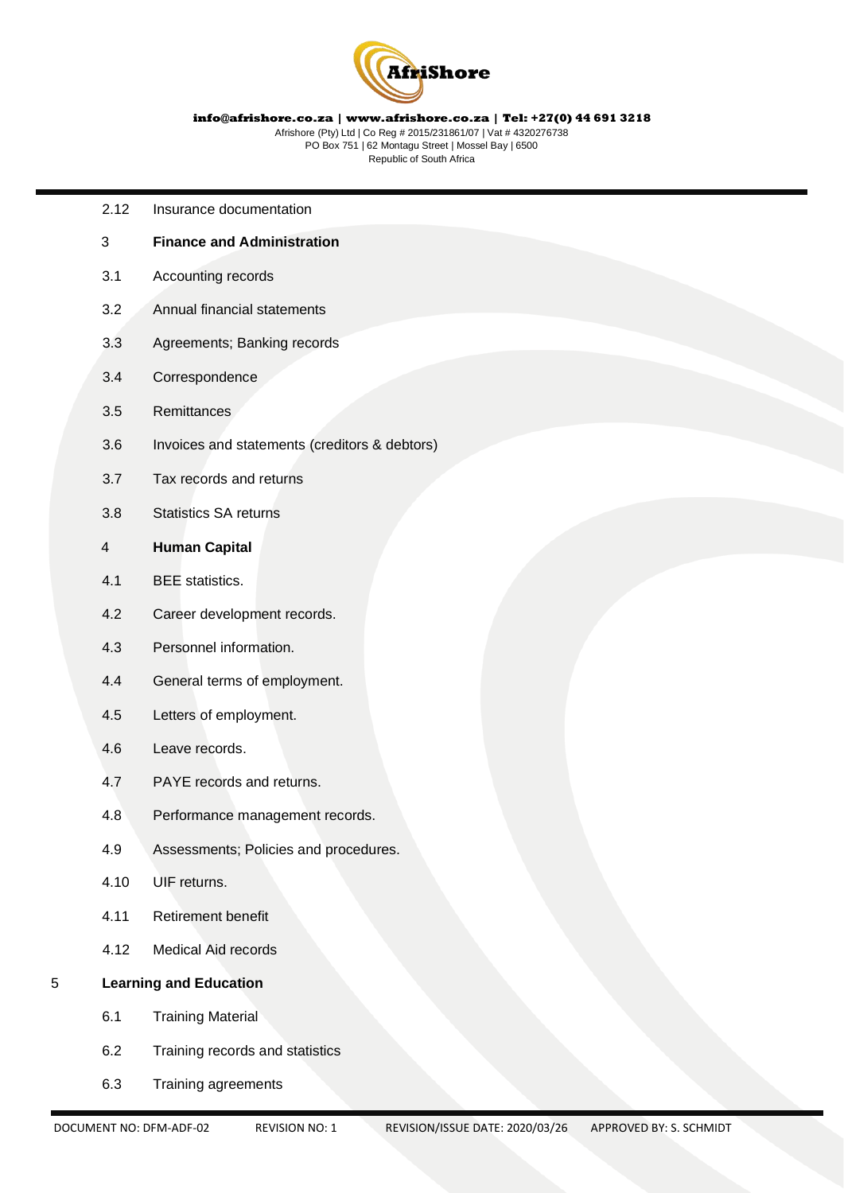

Afrishore (Pty) Ltd | Co Reg # 2015/231861/07 | Vat # 4320276738 PO Box 751 | 62 Montagu Street | Mossel Bay | 6500 Republic of South Africa

- 2.12 Insurance documentation
- 3 **Finance and Administration**
- 3.1 Accounting records
- 3.2 Annual financial statements
- 3.3 Agreements; Banking records
- 3.4 Correspondence
- 3.5 Remittances
- 3.6 Invoices and statements (creditors & debtors)
- 3.7 Tax records and returns
- 3.8 Statistics SA returns
- 4 **Human Capital**
- 4.1 BEE statistics.
- 4.2 Career development records.
- 4.3 Personnel information.
- 4.4 General terms of employment.
- 4.5 Letters of employment.
- 4.6 Leave records.
- 4.7 PAYE records and returns.
- 4.8 Performance management records.
- 4.9 Assessments; Policies and procedures.
- 4.10 UIF returns.
- 4.11 Retirement benefit
- 4.12 Medical Aid records
- 5 **Learning and Education**
	- 6.1 Training Material
	- 6.2 Training records and statistics
	- 6.3 Training agreements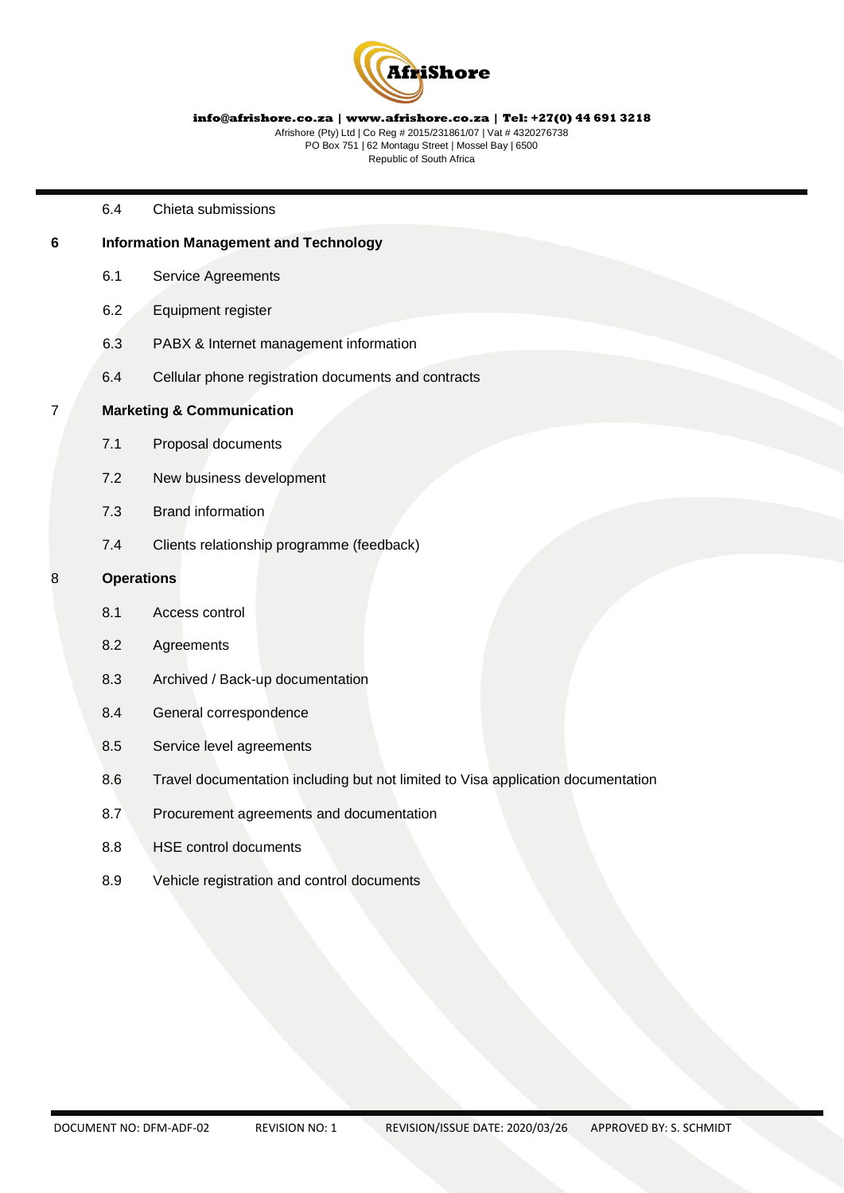

Afrishore (Pty) Ltd | Co Reg # 2015/231861/07 | Vat # 4320276738 PO Box 751 | 62 Montagu Street | Mossel Bay | 6500 Republic of South Africa

6.4 Chieta submissions

# **6 Information Management and Technology**

- 6.1 Service Agreements
- 6.2 Equipment register
- 6.3 PABX & Internet management information
- 6.4 Cellular phone registration documents and contracts

#### 7 **Marketing & Communication**

- 7.1 Proposal documents
- 7.2 New business development
- 7.3 Brand information
- 7.4 Clients relationship programme (feedback)

#### 8 **Operations**

- 8.1 Access control
- 8.2 Agreements
- 8.3 Archived / Back-up documentation
- 8.4 General correspondence
- 8.5 Service level agreements
- 8.6 Travel documentation including but not limited to Visa application documentation
- 8.7 Procurement agreements and documentation
- 8.8 HSE control documents
- 8.9 Vehicle registration and control documents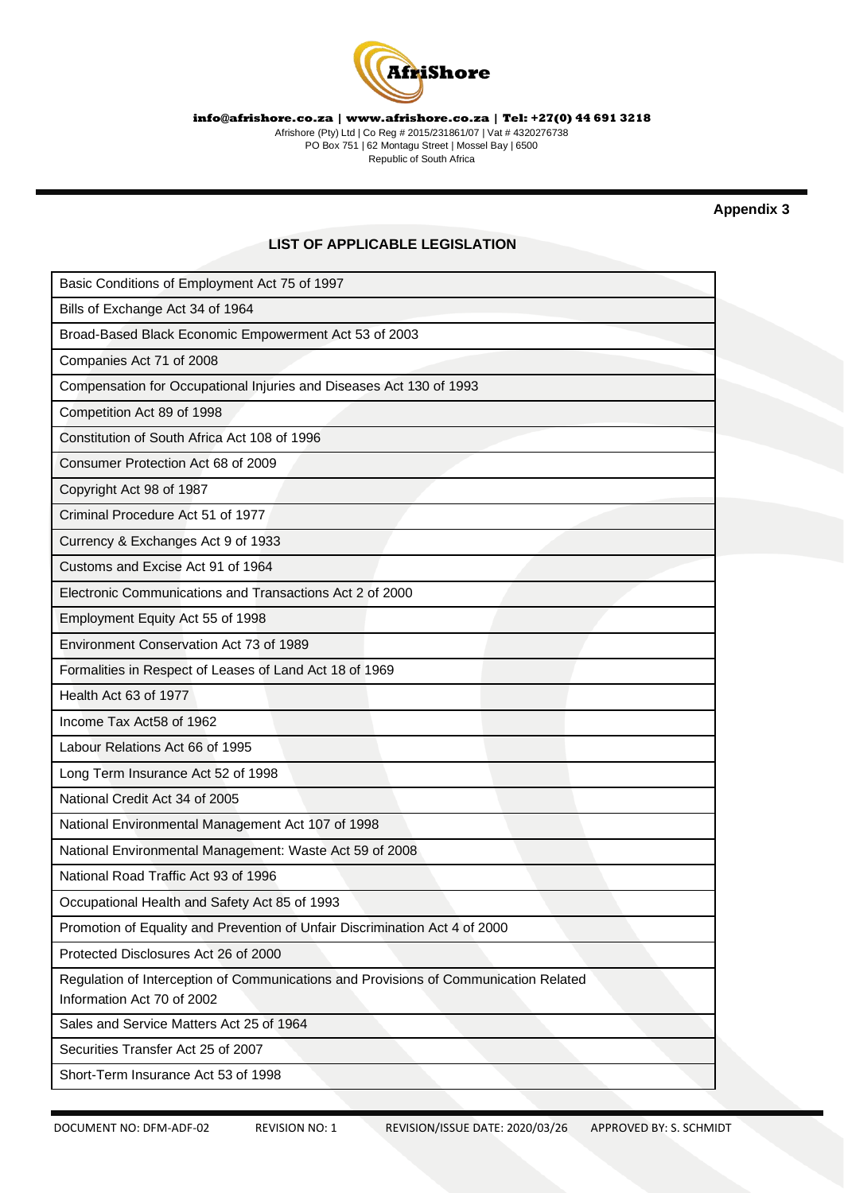

Afrishore (Pty) Ltd | Co Reg # 2015/231861/07 | Vat # 4320276738 PO Box 751 | 62 Montagu Street | Mossel Bay | 6500 Republic of South Africa

**Appendix 3** 

# **LIST OF APPLICABLE LEGISLATION**

| Basic Conditions of Employment Act 75 of 1997                                        |
|--------------------------------------------------------------------------------------|
| Bills of Exchange Act 34 of 1964                                                     |
| Broad-Based Black Economic Empowerment Act 53 of 2003                                |
| Companies Act 71 of 2008                                                             |
| Compensation for Occupational Injuries and Diseases Act 130 of 1993                  |
| Competition Act 89 of 1998                                                           |
| Constitution of South Africa Act 108 of 1996                                         |
| Consumer Protection Act 68 of 2009                                                   |
| Copyright Act 98 of 1987                                                             |
| Criminal Procedure Act 51 of 1977                                                    |
| Currency & Exchanges Act 9 of 1933                                                   |
| Customs and Excise Act 91 of 1964                                                    |
| Electronic Communications and Transactions Act 2 of 2000                             |
| Employment Equity Act 55 of 1998                                                     |
| Environment Conservation Act 73 of 1989                                              |
| Formalities in Respect of Leases of Land Act 18 of 1969                              |
| Health Act 63 of 1977                                                                |
| Income Tax Act58 of 1962                                                             |
| Labour Relations Act 66 of 1995                                                      |
| Long Term Insurance Act 52 of 1998                                                   |
| National Credit Act 34 of 2005                                                       |
| National Environmental Management Act 107 of 1998                                    |
| National Environmental Management: Waste Act 59 of 2008                              |
| National Road Traffic Act 93 of 1996                                                 |
| Occupational Health and Safety Act 85 of 1993                                        |
| Promotion of Equality and Prevention of Unfair Discrimination Act 4 of 2000          |
| Protected Disclosures Act 26 of 2000                                                 |
| Regulation of Interception of Communications and Provisions of Communication Related |
| Information Act 70 of 2002                                                           |
| Sales and Service Matters Act 25 of 1964                                             |
| Securities Transfer Act 25 of 2007                                                   |
| Short-Term Insurance Act 53 of 1998                                                  |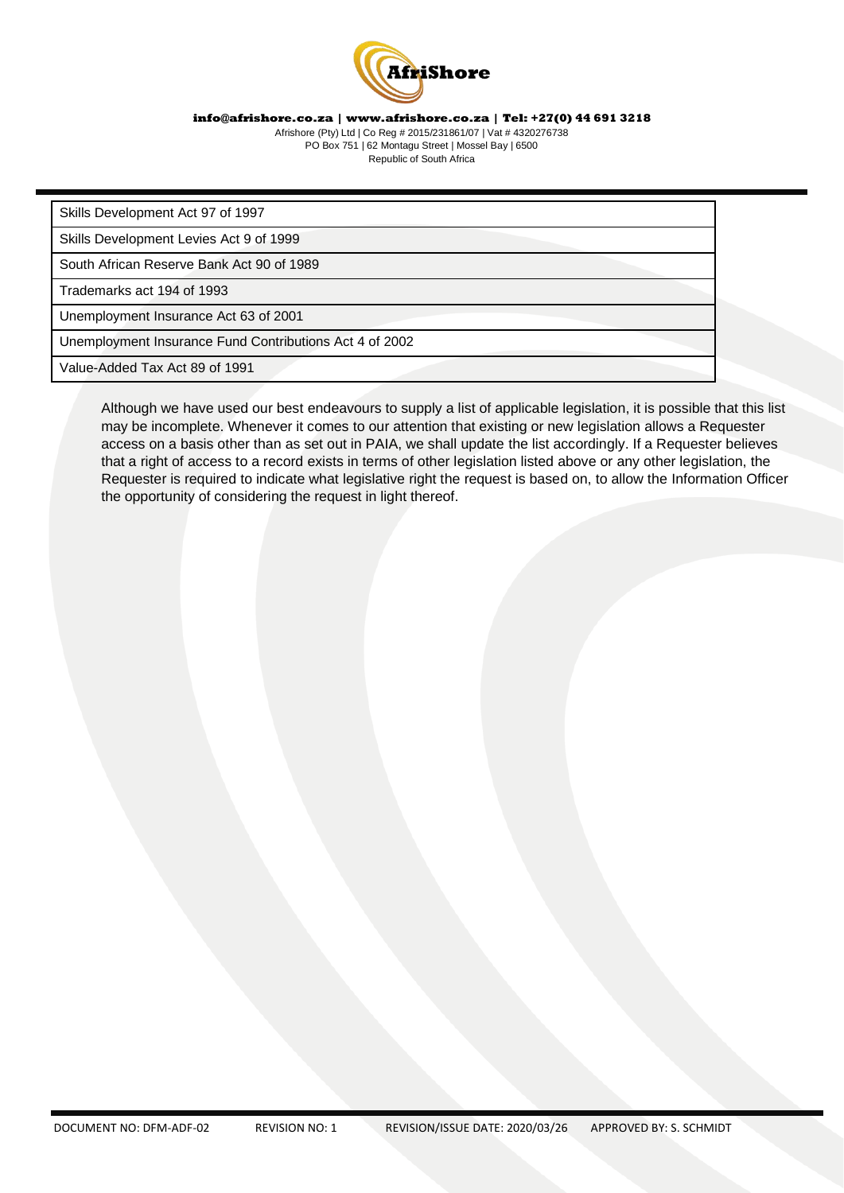

Afrishore (Pty) Ltd | Co Reg # 2015/231861/07 | Vat # 4320276738 PO Box 751 | 62 Montagu Street | Mossel Bay | 6500 Republic of South Africa

Skills Development Act 97 of 1997

Skills Development Levies Act 9 of 1999

South African Reserve Bank Act 90 of 1989

Trademarks act 194 of 1993

Unemployment Insurance Act 63 of 2001

Unemployment Insurance Fund Contributions Act 4 of 2002

Value-Added Tax Act 89 of 1991

Although we have used our best endeavours to supply a list of applicable legislation, it is possible that this list may be incomplete. Whenever it comes to our attention that existing or new legislation allows a Requester access on a basis other than as set out in PAIA, we shall update the list accordingly. If a Requester believes that a right of access to a record exists in terms of other legislation listed above or any other legislation, the Requester is required to indicate what legislative right the request is based on, to allow the Information Officer the opportunity of considering the request in light thereof.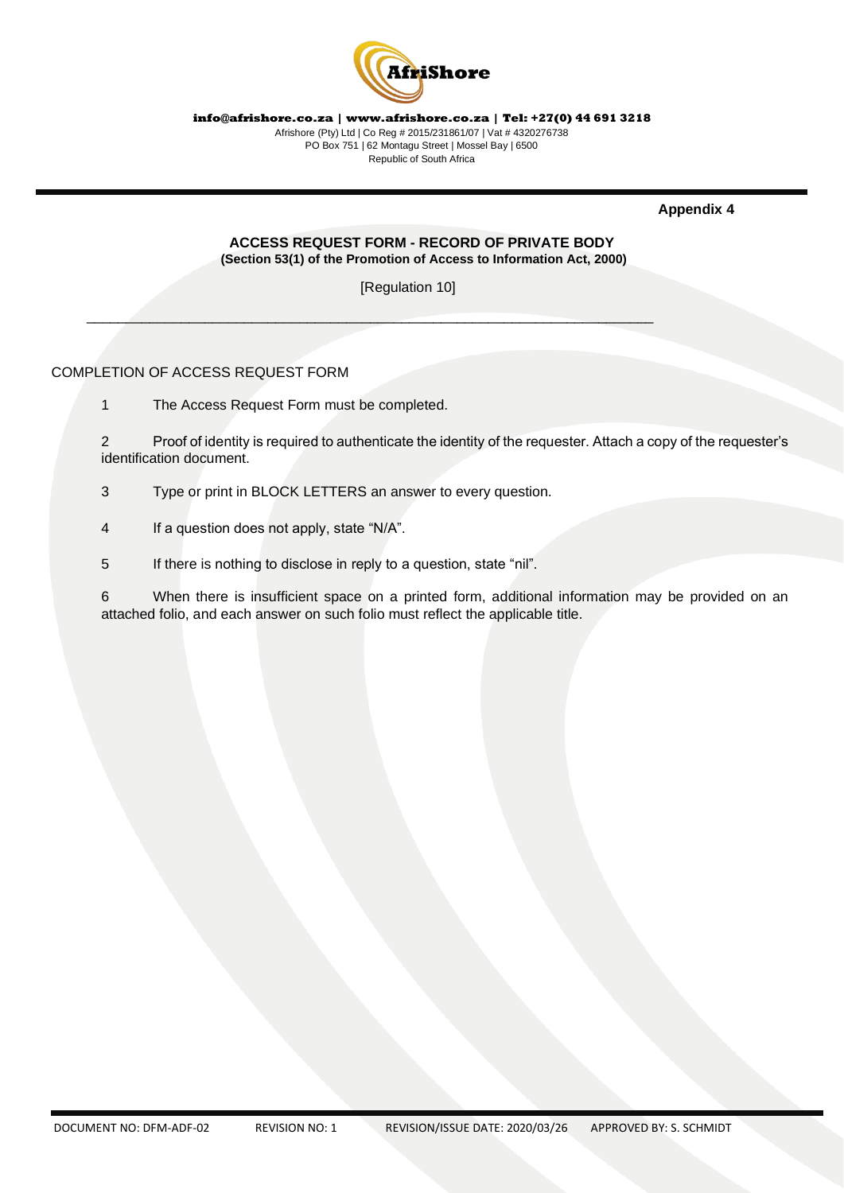

**Appendix 4** 

#### **ACCESS REQUEST FORM - RECORD OF PRIVATE BODY (Section 53(1) of the Promotion of Access to Information Act, 2000)**

[Regulation 10]

 $\mathcal{L}=\mathcal{L}=\mathcal{L}=\mathcal{L}=\mathcal{L}=\mathcal{L}=\mathcal{L}=\mathcal{L}=\mathcal{L}=\mathcal{L}=\mathcal{L}=\mathcal{L}=\mathcal{L}=\mathcal{L}=\mathcal{L}=\mathcal{L}=\mathcal{L}=\mathcal{L}=\mathcal{L}=\mathcal{L}=\mathcal{L}=\mathcal{L}=\mathcal{L}=\mathcal{L}=\mathcal{L}=\mathcal{L}=\mathcal{L}=\mathcal{L}=\mathcal{L}=\mathcal{L}=\mathcal{L}=\mathcal{L}=\mathcal{L}=\mathcal{L}=\mathcal{L}=\mathcal{L}=\mathcal{$ 

COMPLETION OF ACCESS REQUEST FORM

1 The Access Request Form must be completed.

2 Proof of identity is required to authenticate the identity of the requester. Attach a copy of the requester's identification document.

3 Type or print in BLOCK LETTERS an answer to every question.

4 If a question does not apply, state "N/A".

5 If there is nothing to disclose in reply to a question, state "nil".

6 When there is insufficient space on a printed form, additional information may be provided on an attached folio, and each answer on such folio must reflect the applicable title.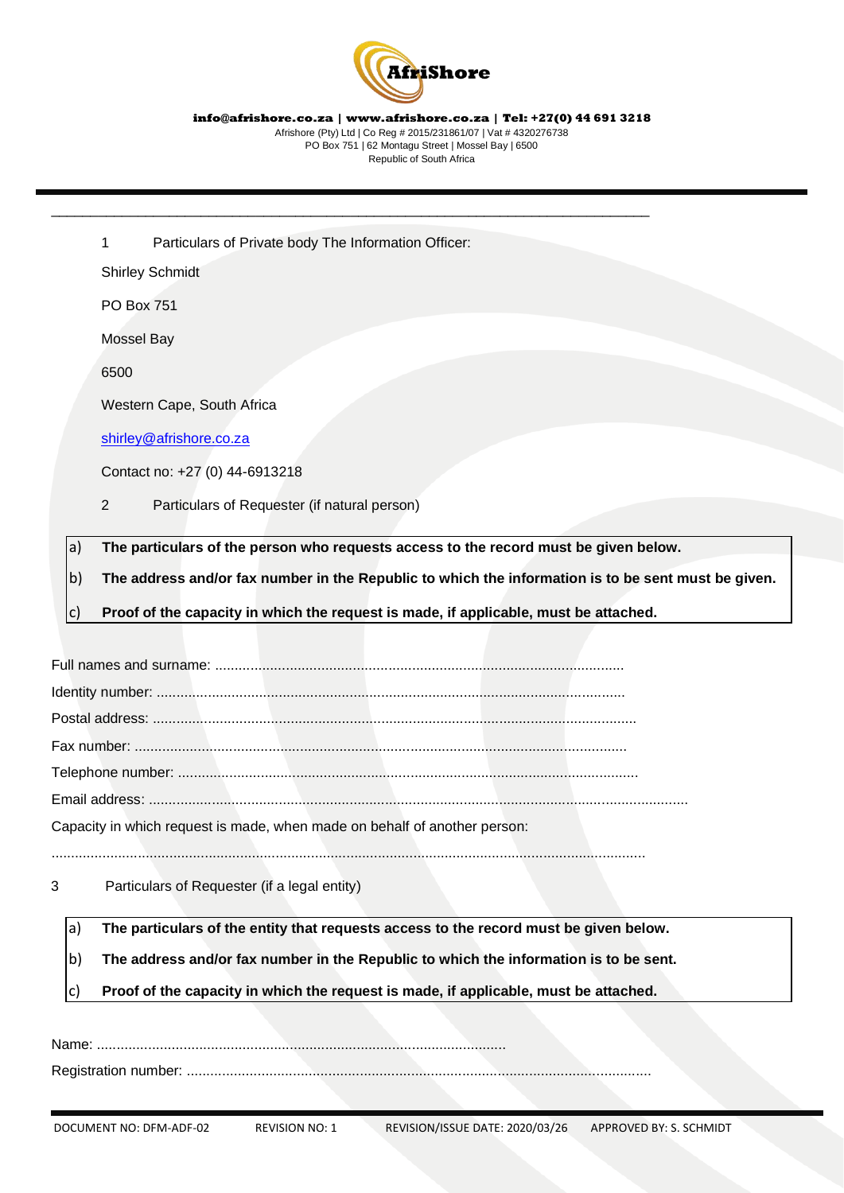

1 Particulars of Private body The Information Officer:

\_\_\_\_\_\_\_\_\_\_\_\_\_\_\_\_\_\_\_\_\_\_\_\_\_\_\_\_\_\_\_\_\_\_\_\_\_\_\_\_\_\_\_\_\_\_\_\_\_\_\_\_\_\_\_\_\_\_\_\_\_\_\_\_\_\_\_\_\_\_\_\_\_\_\_\_

Shirley Schmidt

PO Box 751

Mossel Bay

6500

Western Cape, South Africa

[shirley@afrishore.co.za](mailto:shirley@afrishore.co.za)

Contact no: +27 (0) 44-6913218

2 Particulars of Requester (if natural person)

a) **The particulars of the person who requests access to the record must be given below.** 

b) **The address and/or fax number in the Republic to which the information is to be sent must be given.** 

c) **Proof of the capacity in which the request is made, if applicable, must be attached.** 

Full names and surname: ........................................................................................................

Identity number: .......................................................................................................................

Postal address: ...........................................................................................................................

Fax number: .............................................................................................................................

Telephone number: .....................................................................................................................

Email address: .........................................................................................................................................

Capacity in which request is made, when made on behalf of another person:

.......................................................................................................................................................

3 Particulars of Requester (if a legal entity)

a) **The particulars of the entity that requests access to the record must be given below.** 

b) **The address and/or fax number in the Republic to which the information is to be sent.** 

Proof of the capacity in which the request is made, if applicable, must be attached.

Name: ........................................................................................................

Registration number: ......................................................................................................................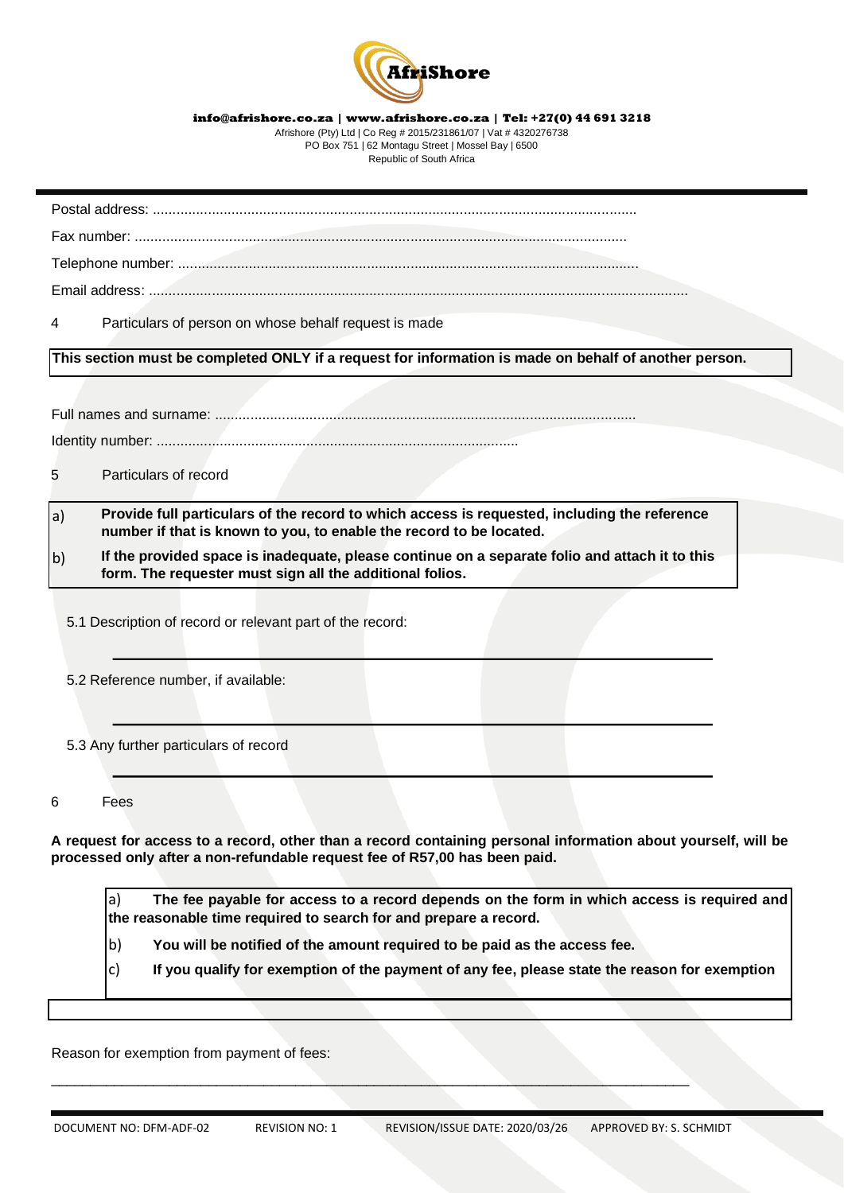

Afrishore (Pty) Ltd | Co Reg # 2015/231861/07 | Vat # 4320276738 PO Box 751 | 62 Montagu Street | Mossel Bay | 6500 Republic of South Africa

Postal address: ...........................................................................................................................

Fax number: .............................................................................................................................

Telephone number: .....................................................................................................................

Email address: .........................................................................................................................................

4 Particulars of person on whose behalf request is made

**This section must be completed ONLY if a request for information is made on behalf of another person.** 

Full names and surname: ...........................................................................................................

Identity number: ............................................................................................

5 Particulars of record

- a) **Provide full particulars of the record to which access is requested, including the reference number if that is known to you, to enable the record to be located.**
- b) **If the provided space is inadequate, please continue on a separate folio and attach it to this form. The requester must sign all the additional folios.**

5.1 Description of record or relevant part of the record:

5.2 Reference number, if available:

5.3 Any further particulars of record

6 Fees

**A request for access to a record, other than a record containing personal information about yourself, will be processed only after a non-refundable request fee of R57,00 has been paid.** 

a) **The fee payable for access to a record depends on the form in which access is required and the reasonable time required to search for and prepare a record.** 

i,

l,

i,

b) **You will be notified of the amount required to be paid as the access fee.** 

\_\_\_\_\_\_\_\_\_\_\_\_\_\_\_\_\_\_\_\_\_\_\_\_\_\_\_\_\_\_\_\_\_\_\_\_\_\_\_\_\_\_\_\_\_\_\_\_\_\_\_\_\_\_\_\_\_\_\_\_\_\_\_\_\_\_\_\_\_\_\_\_\_\_\_\_\_\_\_\_\_

c) **If you qualify for exemption of the payment of any fee, please state the reason for exemption**

Reason for exemption from payment of fees: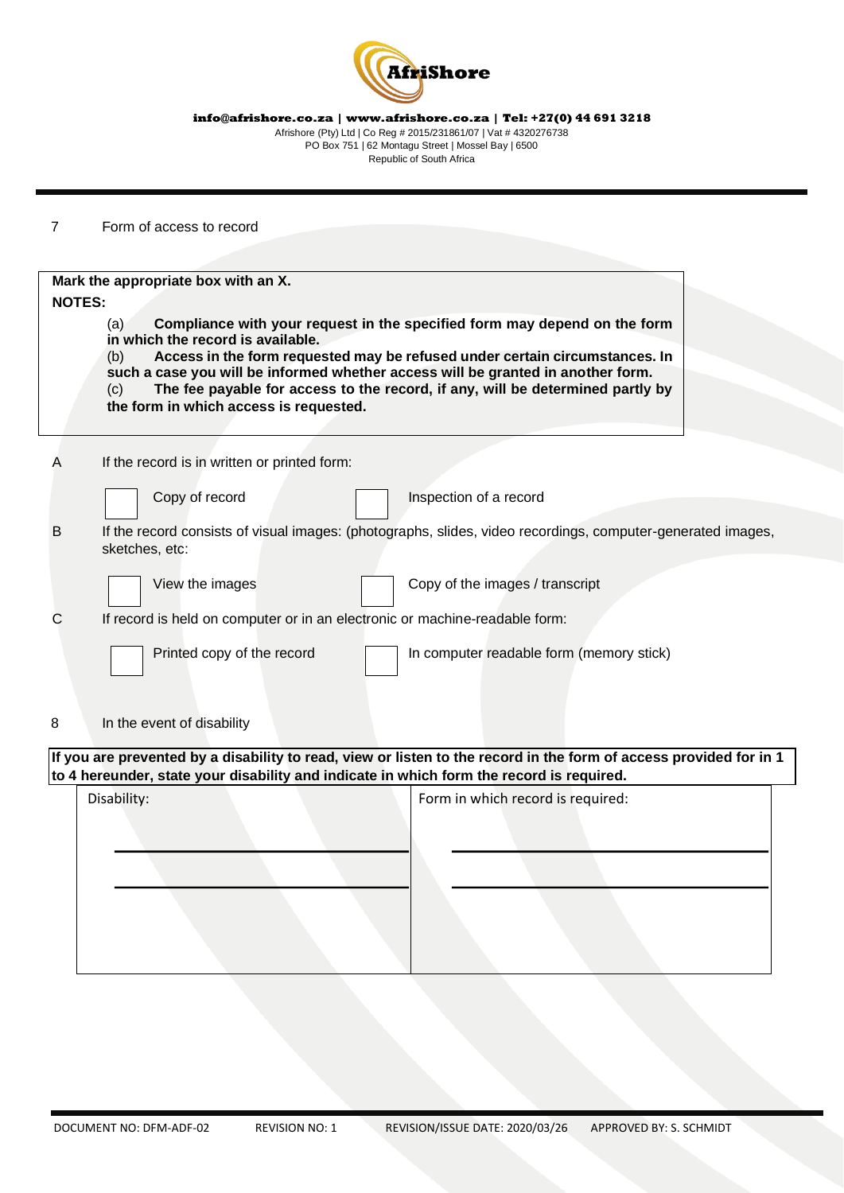

7 Form of access to record

| Mark the appropriate box with an X. |                                                                             |                                                                                                                                                                                                                                                                                                                                |
|-------------------------------------|-----------------------------------------------------------------------------|--------------------------------------------------------------------------------------------------------------------------------------------------------------------------------------------------------------------------------------------------------------------------------------------------------------------------------|
| <b>NOTES:</b><br>(a)<br>(b)<br>(c)  | in which the record is available.<br>the form in which access is requested. | Compliance with your request in the specified form may depend on the form<br>Access in the form requested may be refused under certain circumstances. In<br>such a case you will be informed whether access will be granted in another form.<br>The fee payable for access to the record, if any, will be determined partly by |
| Α                                   | If the record is in written or printed form:                                |                                                                                                                                                                                                                                                                                                                                |
|                                     | Copy of record                                                              | Inspection of a record                                                                                                                                                                                                                                                                                                         |
| B<br>sketches, etc:                 |                                                                             | If the record consists of visual images: (photographs, slides, video recordings, computer-generated images,                                                                                                                                                                                                                    |
|                                     | View the images                                                             | Copy of the images / transcript                                                                                                                                                                                                                                                                                                |
| С                                   | If record is held on computer or in an electronic or machine-readable form: |                                                                                                                                                                                                                                                                                                                                |
|                                     | Printed copy of the record                                                  | In computer readable form (memory stick)                                                                                                                                                                                                                                                                                       |
| In the event of disability<br>8     |                                                                             |                                                                                                                                                                                                                                                                                                                                |
|                                     |                                                                             | If you are prevented by a disability to read, view or listen to the record in the form of access provided for in 1<br>to 4 hereunder, state your disability and indicate in which form the record is required.                                                                                                                 |
| Disability:                         |                                                                             | Form in which record is required:                                                                                                                                                                                                                                                                                              |
|                                     |                                                                             |                                                                                                                                                                                                                                                                                                                                |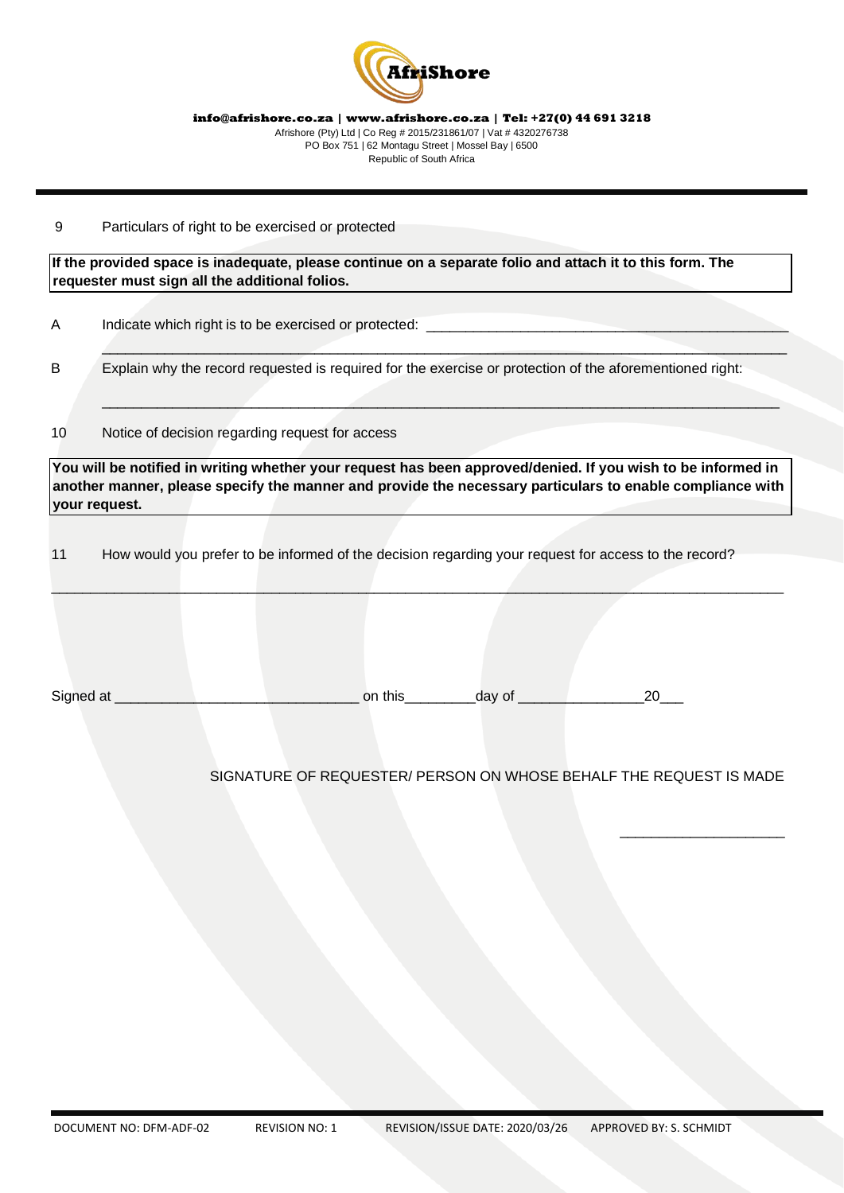

#### 9 Particulars of right to be exercised or protected

**If the provided space is inadequate, please continue on a separate folio and attach it to this form. The requester must sign all the additional folios.** 

A Indicate which right is to be exercised or protected:

B Explain why the record requested is required for the exercise or protection of the aforementioned right:

 $\overline{\phantom{a}}$  , and the contribution of the contribution of the contribution of the contribution of the contribution of the contribution of the contribution of the contribution of the contribution of the contribution of the

\_\_\_\_\_\_\_\_\_\_\_\_\_\_\_\_\_\_\_\_\_\_\_\_\_\_\_\_\_\_\_\_\_\_\_\_\_\_\_\_\_\_\_\_\_\_\_\_\_\_\_\_\_\_\_\_\_\_\_\_\_\_\_\_\_\_\_\_\_\_\_\_\_\_\_\_\_\_\_\_\_\_\_\_\_\_

10 Notice of decision regarding request for access

**You will be notified in writing whether your request has been approved/denied. If you wish to be informed in another manner, please specify the manner and provide the necessary particulars to enable compliance with your request.** 

\_\_\_\_\_\_\_\_\_\_\_\_\_\_\_\_\_\_\_\_\_\_\_\_\_\_\_\_\_\_\_\_\_\_\_\_\_\_\_\_\_\_\_\_\_\_\_\_\_\_\_\_\_\_\_\_\_\_\_\_\_\_\_\_\_\_\_\_\_\_\_\_\_\_\_\_\_\_\_\_\_\_\_\_\_\_\_\_\_\_\_\_\_

11 How would you prefer to be informed of the decision regarding your request for access to the record?

|  | Sign |  |  |  |  |  |
|--|------|--|--|--|--|--|
|--|------|--|--|--|--|--|

# SIGNATURE OF REQUESTER/ PERSON ON WHOSE BEHALF THE REQUEST IS MADE

\_\_\_\_\_\_\_\_\_\_\_\_\_\_\_\_\_\_\_\_\_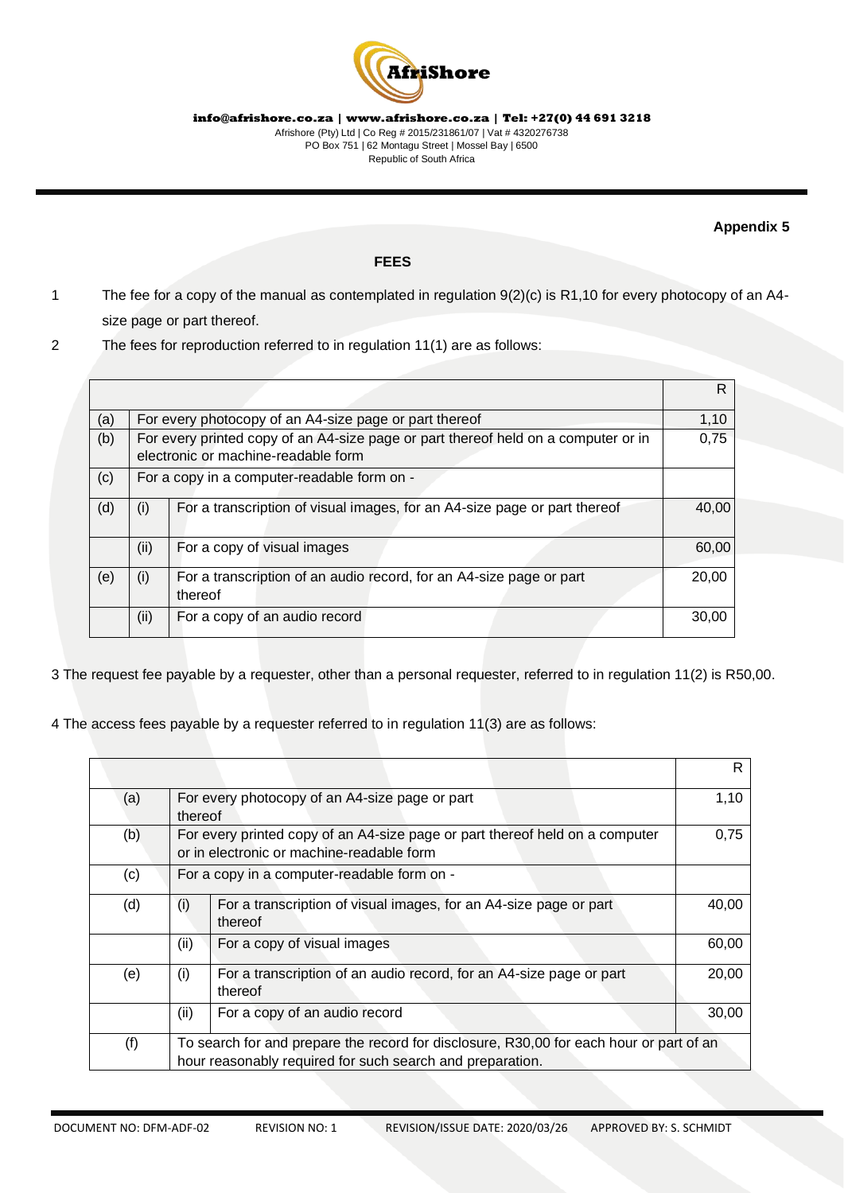

#### **Appendix 5**

# **FEES**

- 1 The fee for a copy of the manual as contemplated in regulation 9(2)(c) is R1,10 for every photocopy of an A4 size page or part thereof.
- 2 The fees for reproduction referred to in regulation 11(1) are as follows:

|     |      |                                                                                                                           | R     |
|-----|------|---------------------------------------------------------------------------------------------------------------------------|-------|
| (a) |      | For every photocopy of an A4-size page or part thereof                                                                    | 1,10  |
| (b) |      | For every printed copy of an A4-size page or part thereof held on a computer or in<br>electronic or machine-readable form | 0,75  |
| (c) |      | For a copy in a computer-readable form on -                                                                               |       |
| (d) | (i)  | For a transcription of visual images, for an A4-size page or part thereof                                                 | 40,00 |
|     | (ii) | For a copy of visual images                                                                                               | 60,00 |
| (e) | (i)  | For a transcription of an audio record, for an A4-size page or part<br>thereof                                            | 20,00 |
|     | (ii) | For a copy of an audio record                                                                                             | 30,00 |

3 The request fee payable by a requester, other than a personal requester, referred to i[n](https://discover.sabinet.co.za/webx/access/netlaw/2_2000_promotion_of_access_to_information_1.htm#reg11) [regulation 11\(2](https://discover.sabinet.co.za/webx/access/netlaw/2_2000_promotion_of_access_to_information_1.htm#reg11)) is R50,00.

4 The access fees payable by a requester referred to i[n](https://discover.sabinet.co.za/webx/access/netlaw/2_2000_promotion_of_access_to_information_1.htm#reg11) [regulation 11\(3](https://discover.sabinet.co.za/webx/access/netlaw/2_2000_promotion_of_access_to_information_1.htm#reg11)) are as follows:

|     |         |                                                                                                                                                      | R.    |
|-----|---------|------------------------------------------------------------------------------------------------------------------------------------------------------|-------|
| (a) | thereof | For every photocopy of an A4-size page or part                                                                                                       | 1,10  |
| (b) |         | For every printed copy of an A4-size page or part thereof held on a computer<br>or in electronic or machine-readable form                            | 0,75  |
| (c) |         | For a copy in a computer-readable form on -                                                                                                          |       |
| (d) | (i)     | For a transcription of visual images, for an A4-size page or part<br>thereof                                                                         | 40,00 |
|     | (ii)    | For a copy of visual images                                                                                                                          | 60,00 |
| (e) | (i)     | For a transcription of an audio record, for an A4-size page or part<br>thereof                                                                       | 20,00 |
|     | (ii)    | For a copy of an audio record                                                                                                                        | 30,00 |
| (f) |         | To search for and prepare the record for disclosure, R30,00 for each hour or part of an<br>hour reasonably required for such search and preparation. |       |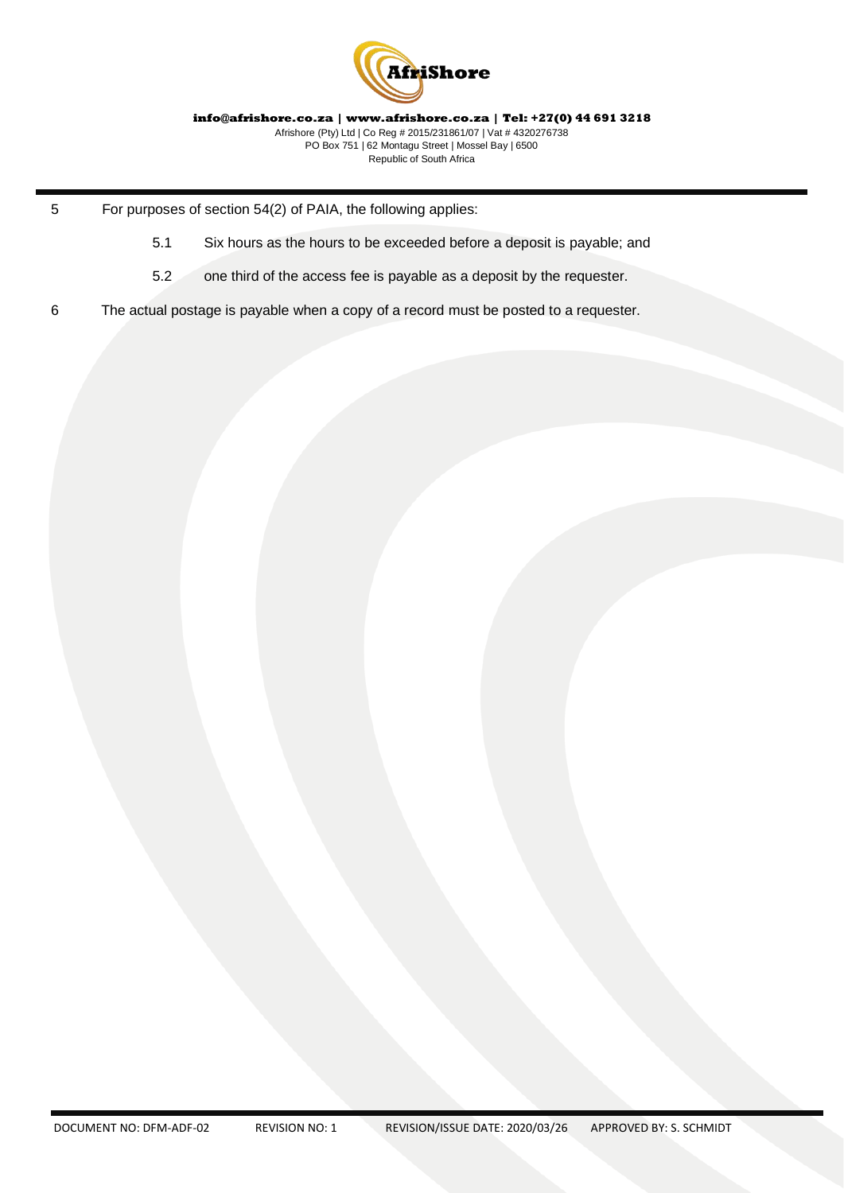

- 5 For purposes of section 54(2) of PAIA, the following applies:
	- 5.1 Six hours as the hours to be exceeded before a deposit is payable; and
	- 5.2 one third of the access fee is payable as a deposit by the requester.
- 6 The actual postage is payable when a copy of a record must be posted to a requester.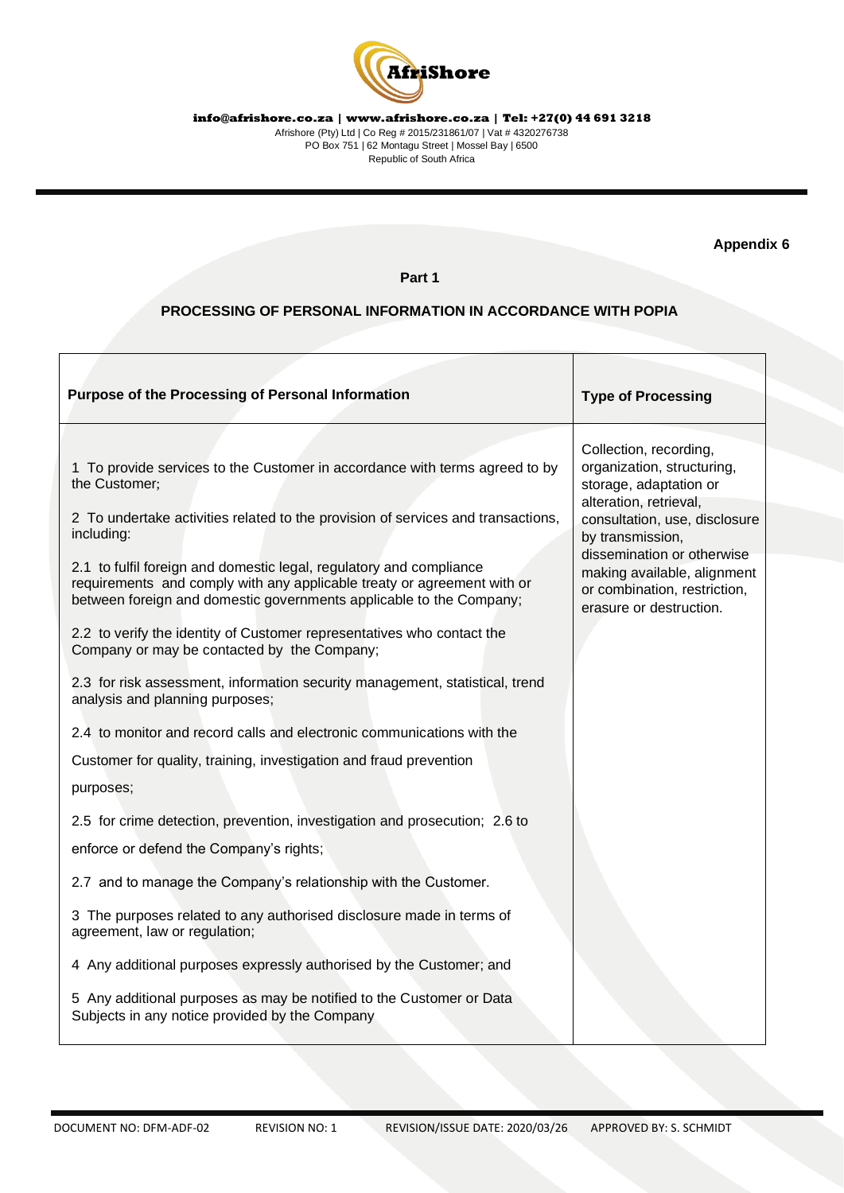

**Appendix 6** 

# **Part 1**

## **PROCESSING OF PERSONAL INFORMATION IN ACCORDANCE WITH POPIA**

| Purpose of the Processing of Personal Information                                                                                                                                                                     | <b>Type of Processing</b>                                                                                            |
|-----------------------------------------------------------------------------------------------------------------------------------------------------------------------------------------------------------------------|----------------------------------------------------------------------------------------------------------------------|
| 1 To provide services to the Customer in accordance with terms agreed to by<br>the Customer;                                                                                                                          | Collection, recording,<br>organization, structuring,<br>storage, adaptation or                                       |
| 2 To undertake activities related to the provision of services and transactions,<br>including:                                                                                                                        | alteration, retrieval,<br>consultation, use, disclosure<br>by transmission,                                          |
| 2.1 to fulfil foreign and domestic legal, regulatory and compliance<br>requirements and comply with any applicable treaty or agreement with or<br>between foreign and domestic governments applicable to the Company; | dissemination or otherwise<br>making available, alignment<br>or combination, restriction,<br>erasure or destruction. |
| 2.2 to verify the identity of Customer representatives who contact the<br>Company or may be contacted by the Company;                                                                                                 |                                                                                                                      |
| 2.3 for risk assessment, information security management, statistical, trend<br>analysis and planning purposes;                                                                                                       |                                                                                                                      |
| 2.4 to monitor and record calls and electronic communications with the                                                                                                                                                |                                                                                                                      |
| Customer for quality, training, investigation and fraud prevention                                                                                                                                                    |                                                                                                                      |
| purposes;                                                                                                                                                                                                             |                                                                                                                      |
| 2.5 for crime detection, prevention, investigation and prosecution; 2.6 to                                                                                                                                            |                                                                                                                      |
| enforce or defend the Company's rights;                                                                                                                                                                               |                                                                                                                      |
| 2.7 and to manage the Company's relationship with the Customer.                                                                                                                                                       |                                                                                                                      |
| 3 The purposes related to any authorised disclosure made in terms of<br>agreement, law or regulation;                                                                                                                 |                                                                                                                      |
| 4 Any additional purposes expressly authorised by the Customer; and                                                                                                                                                   |                                                                                                                      |
| 5 Any additional purposes as may be notified to the Customer or Data<br>Subjects in any notice provided by the Company                                                                                                |                                                                                                                      |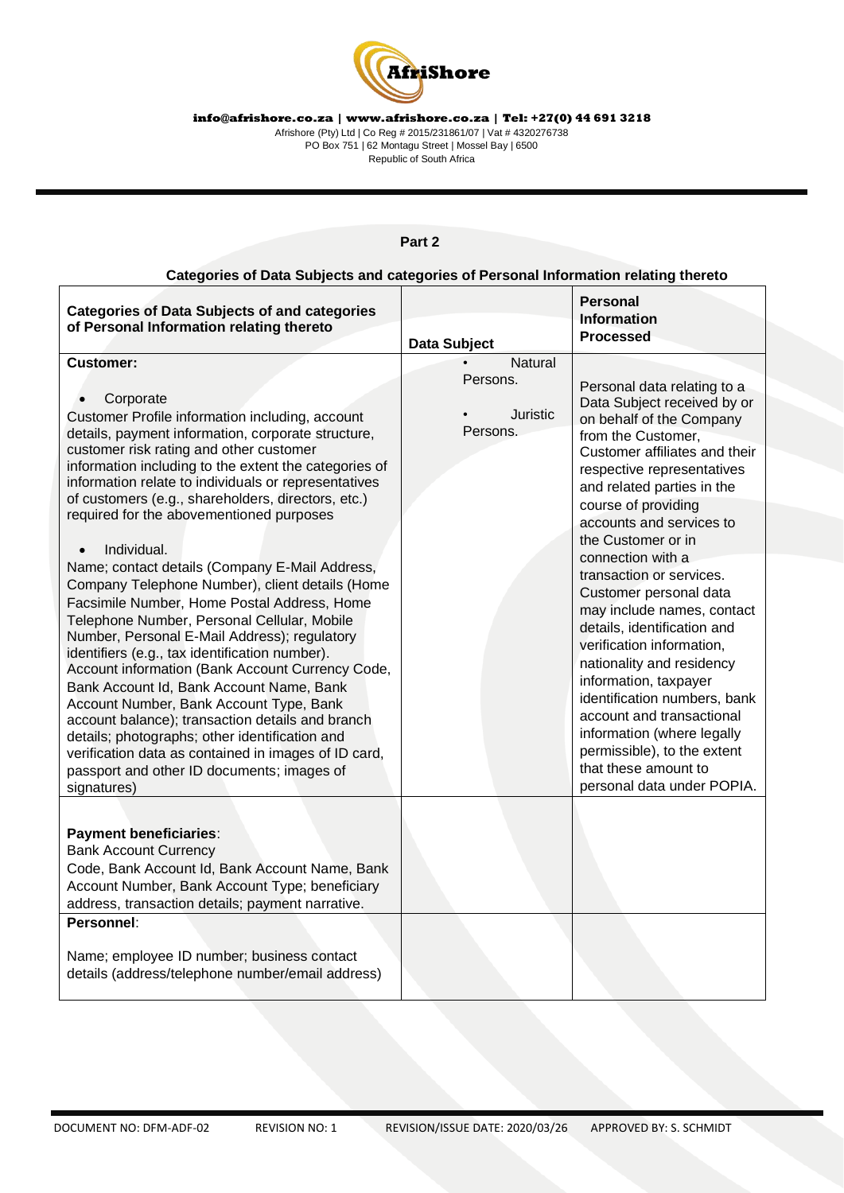

**info@afrishore.co.za | www.afrishore.co.za | Tel: +27(0) 44 691 3218** Afrishore (Pty) Ltd | Co Reg # 2015/231861/07 | Vat # 4320276738

PO Box 751 | 62 Montagu Street | Mossel Bay | 6500 Republic of South Africa

#### **Categories of Data Subjects and categories of Personal Information relating thereto Categories of Data Subjects of and categories of Personal Information relating thereto Data Subject Personal Information Processed Customer: Corporate** Customer Profile information including, account details, payment information, corporate structure, customer risk rating and other customer information including to the extent the categories of information relate to individuals or representatives of customers (e.g., shareholders, directors, etc.) required for the abovementioned purposes • Individual. Name; contact details (Company E-Mail Address, Company Telephone Number), client details (Home Facsimile Number, Home Postal Address, Home Telephone Number, Personal Cellular, Mobile Number, Personal E-Mail Address); regulatory identifiers (e.g., tax identification number). Account information (Bank Account Currency Code, Bank Account Id, Bank Account Name, Bank Account Number, Bank Account Type, Bank account balance); transaction details and branch details; photographs; other identification and verification data as contained in images of ID card, passport and other ID documents; images of signatures) **Natural** Persons. • Juristic Persons. Personal data relating to a Data Subject received by or on behalf of the Company from the Customer, Customer affiliates and their respective representatives and related parties in the course of providing accounts and services to the Customer or in connection with a transaction or services. Customer personal data may include names, contact details, identification and verification information, nationality and residency information, taxpayer identification numbers, bank account and transactional information (where legally permissible), to the extent that these amount to personal data under POPIA. **Payment beneficiaries**: Bank Account Currency Code, Bank Account Id, Bank Account Name, Bank Account Number, Bank Account Type; beneficiary address, transaction details; payment narrative. **Personnel**: Name; employee ID number; business contact details (address/telephone number/email address)

# **Part 2**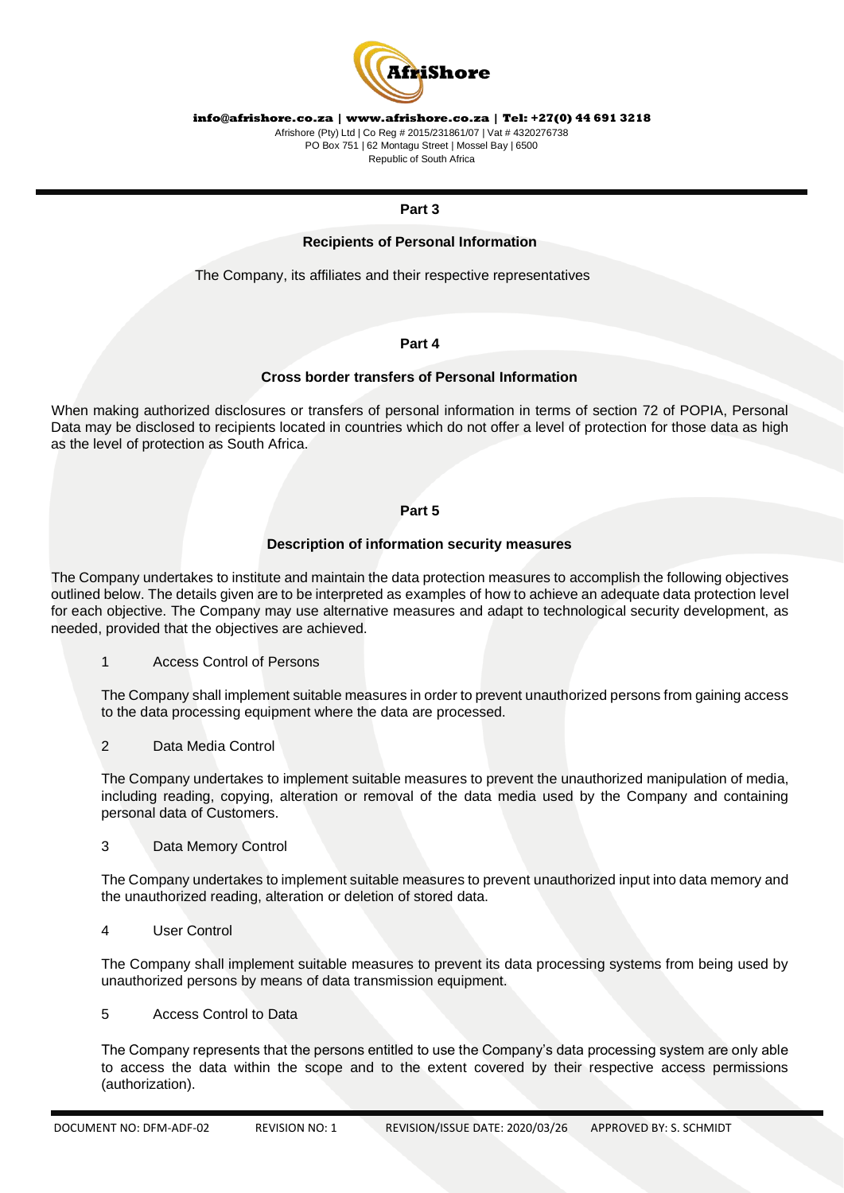

Afrishore (Pty) Ltd | Co Reg # 2015/231861/07 | Vat # 4320276738 PO Box 751 | 62 Montagu Street | Mossel Bay | 6500 Republic of South Africa

#### **Part 3**

#### **Recipients of Personal Information**

The Company, its affiliates and their respective representatives

#### **Part 4**

#### **Cross border transfers of Personal Information**

When making authorized disclosures or transfers of personal information in terms of section 72 of POPIA, Personal Data may be disclosed to recipients located in countries which do not offer a level of protection for those data as high as the level of protection as South Africa.

#### **Part 5**

#### **Description of information security measures**

The Company undertakes to institute and maintain the data protection measures to accomplish the following objectives outlined below. The details given are to be interpreted as examples of how to achieve an adequate data protection level for each objective. The Company may use alternative measures and adapt to technological security development, as needed, provided that the objectives are achieved.

#### 1 Access Control of Persons

The Company shall implement suitable measures in order to prevent unauthorized persons from gaining access to the data processing equipment where the data are processed.

2 Data Media Control

The Company undertakes to implement suitable measures to prevent the unauthorized manipulation of media, including reading, copying, alteration or removal of the data media used by the Company and containing personal data of Customers.

#### 3 Data Memory Control

The Company undertakes to implement suitable measures to prevent unauthorized input into data memory and the unauthorized reading, alteration or deletion of stored data.

4 User Control

The Company shall implement suitable measures to prevent its data processing systems from being used by unauthorized persons by means of data transmission equipment.

5 Access Control to Data

The Company represents that the persons entitled to use the Company's data processing system are only able to access the data within the scope and to the extent covered by their respective access permissions (authorization).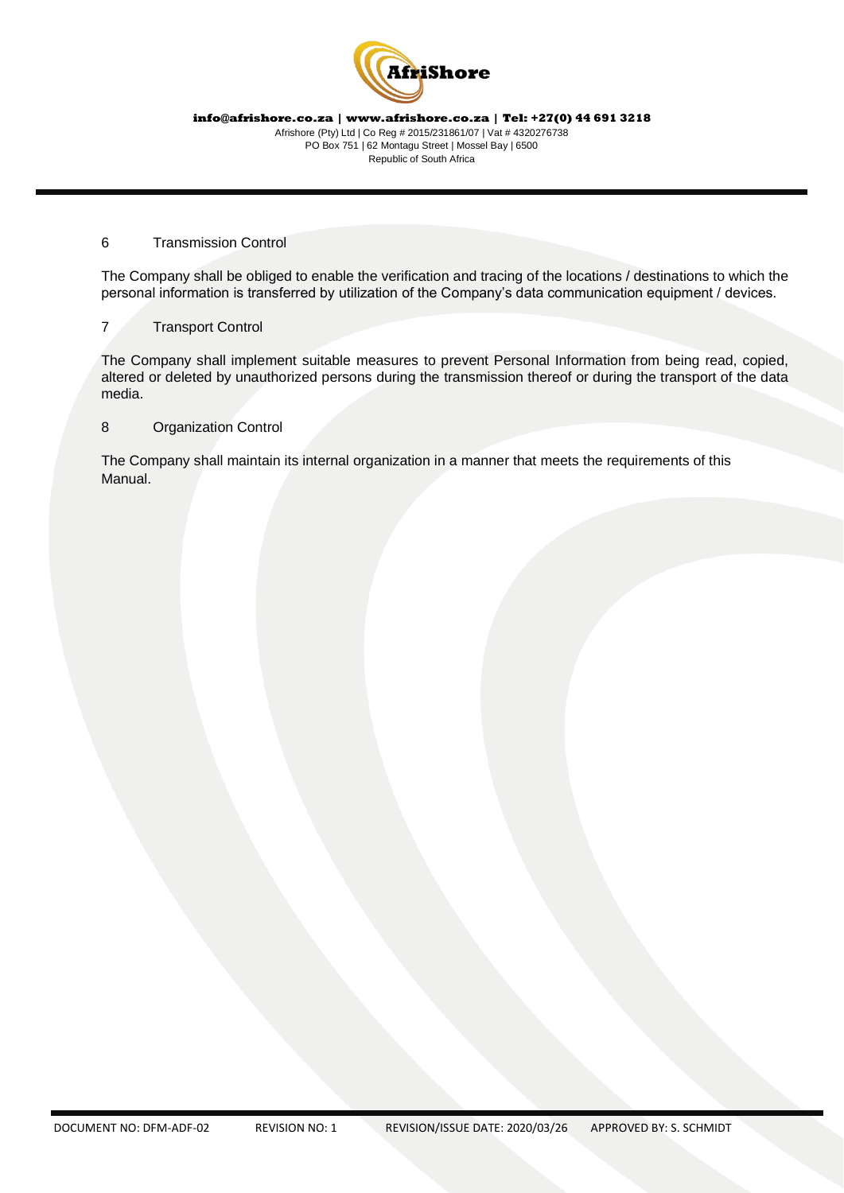

#### 6 Transmission Control

The Company shall be obliged to enable the verification and tracing of the locations / destinations to which the personal information is transferred by utilization of the Company's data communication equipment / devices.

## 7 Transport Control

The Company shall implement suitable measures to prevent Personal Information from being read, copied, altered or deleted by unauthorized persons during the transmission thereof or during the transport of the data media.

8 Organization Control

The Company shall maintain its internal organization in a manner that meets the requirements of this Manual.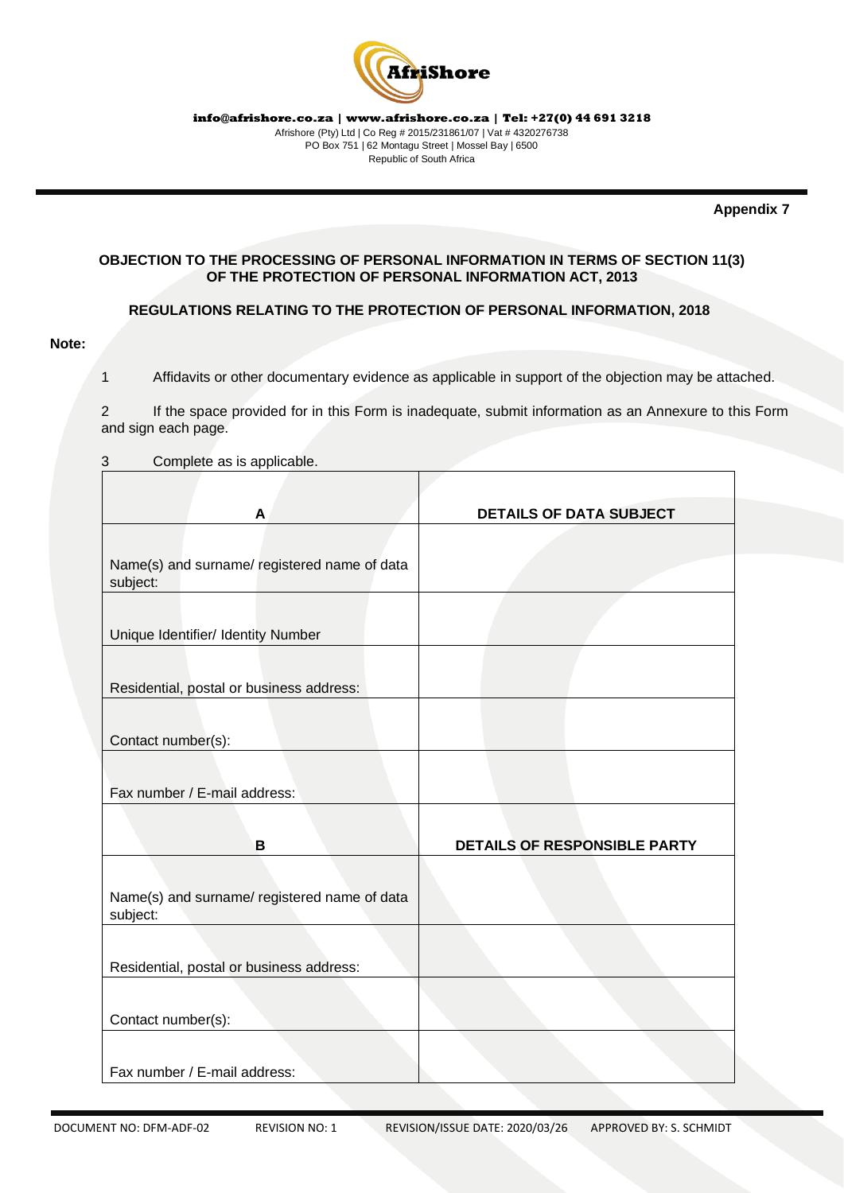

**Appendix 7** 

# **OBJECTION TO THE PROCESSING OF PERSONAL INFORMATION IN TERMS OF SECTION 11(3) OF THE PROTECTION OF PERSONAL INFORMATION ACT, 2013**

## **REGULATIONS RELATING TO THE PROTECTION OF PERSONAL INFORMATION, 2018**

#### **Note:**

1 Affidavits or other documentary evidence as applicable in support of the objection may be attached.

2 If the space provided for in this Form is inadequate, submit information as an Annexure to this Form and sign each page.

3 Complete as is applicable.

| A                                            | <b>DETAILS OF DATA SUBJECT</b> |
|----------------------------------------------|--------------------------------|
|                                              |                                |
| Name(s) and surname/ registered name of data |                                |
| subject:                                     |                                |
|                                              |                                |
| Unique Identifier/ Identity Number           |                                |
|                                              |                                |
| Residential, postal or business address:     |                                |
|                                              |                                |
|                                              |                                |
| Contact number(s):                           |                                |
|                                              |                                |
| Fax number / E-mail address:                 |                                |
|                                              |                                |
| в                                            | DETAILS OF RESPONSIBLE PARTY   |
|                                              |                                |
| Name(s) and surname/ registered name of data |                                |
| subject:                                     |                                |
|                                              |                                |
| Residential, postal or business address:     |                                |
|                                              |                                |
|                                              |                                |
| Contact number(s):                           |                                |
|                                              |                                |
| Fax number / E-mail address:                 |                                |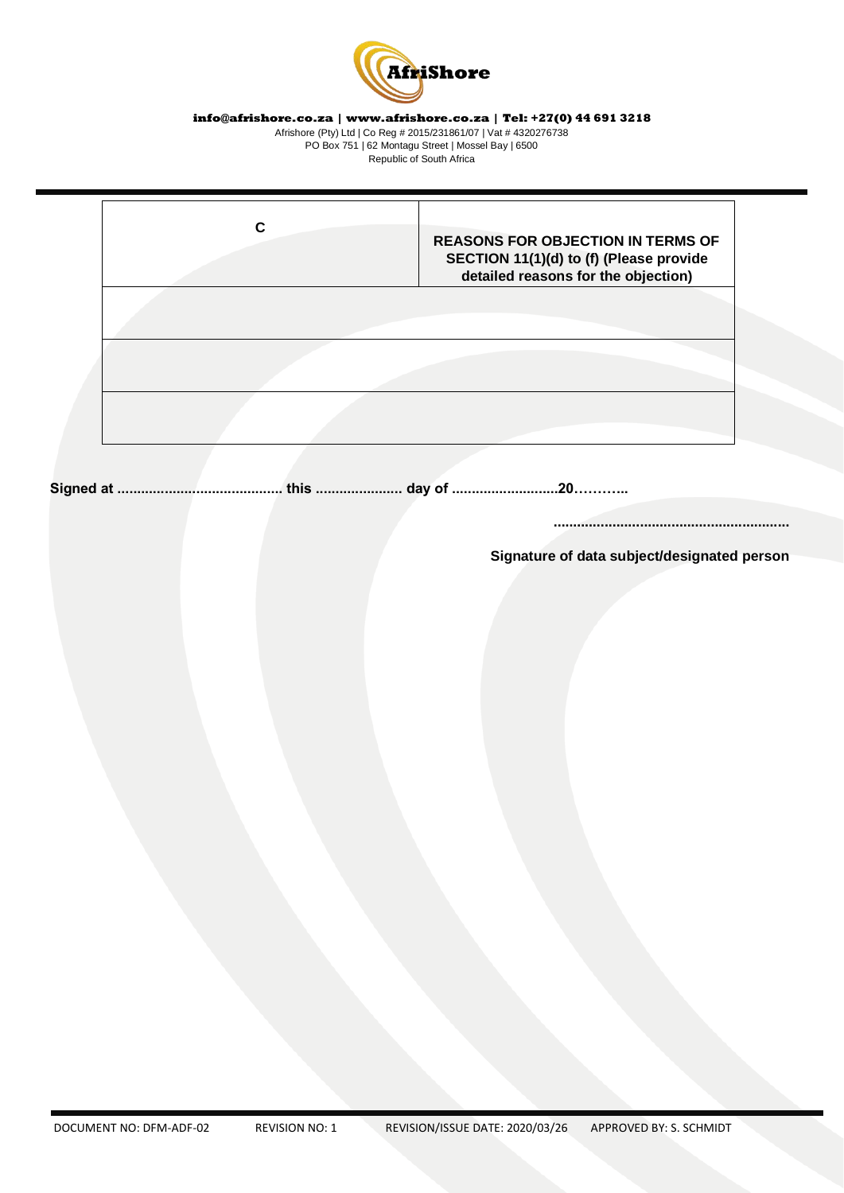

Afrishore (Pty) Ltd | Co Reg # 2015/231861/07 | Vat # 4320276738 PO Box 751 | 62 Montagu Street | Mossel Bay | 6500 Republic of South Africa

|  | <b>REASONS FOR OBJECTION IN TERMS OF</b><br>SECTION 11(1)(d) to (f) (Please provide<br>detailed reasons for the objection) |
|--|----------------------------------------------------------------------------------------------------------------------------|
|  |                                                                                                                            |
|  |                                                                                                                            |

**Signed at .......................................... this ...................... day of ...........................20………...** 

**............................................................** 

**Signature of data subject/designated person**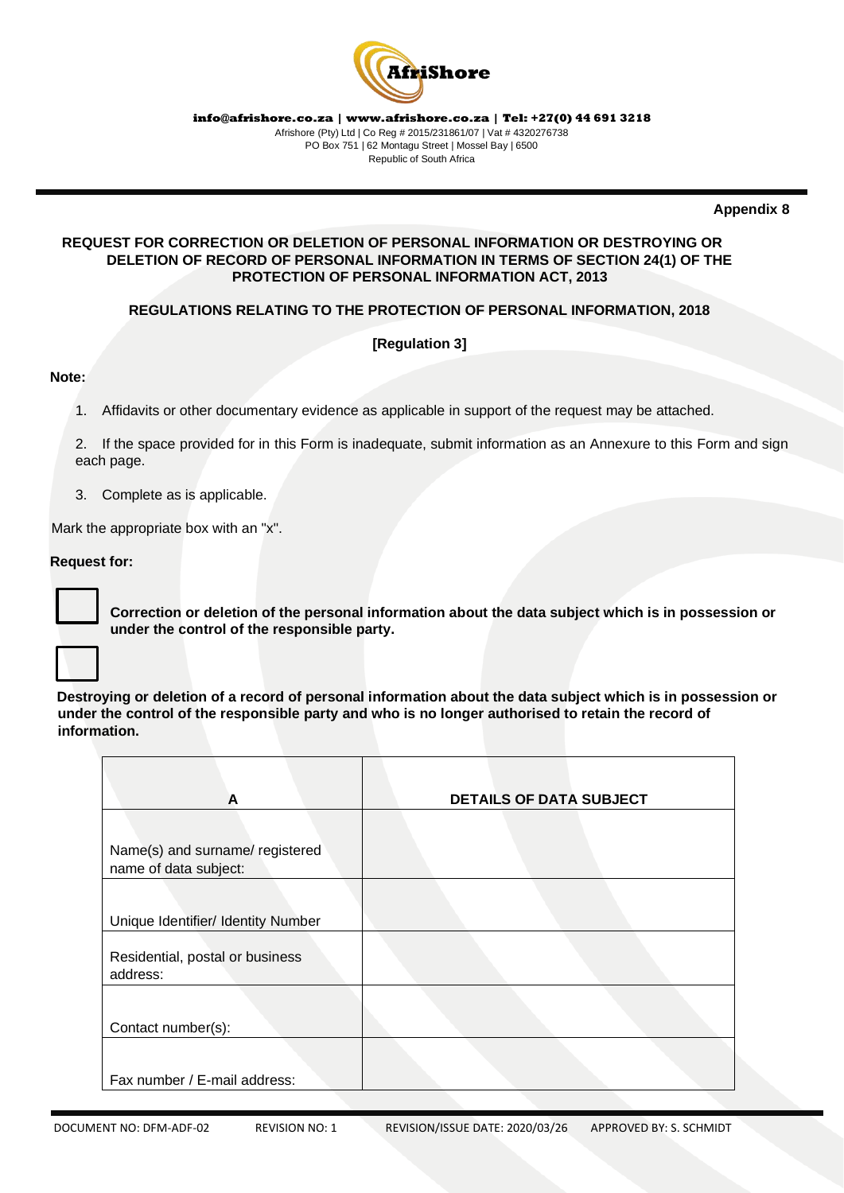

**Appendix 8** 

# **REQUEST FOR CORRECTION OR DELETION OF PERSONAL INFORMATION OR DESTROYING OR DELETION OF RECORD OF PERSONAL INFORMATION IN TERMS OF SECTION 24(1) OF THE PROTECTION OF PERSONAL INFORMATION ACT, 2013**

# **REGULATIONS RELATING TO THE PROTECTION OF PERSONAL INFORMATION, 2018**

# **[Regulation 3]**

## **Note:**

- 1. Affidavits or other documentary evidence as applicable in support of the request may be attached.
- 2. If the space provided for in this Form is inadequate, submit information as an Annexure to this Form and sign each page.
- 3. Complete as is applicable.

Mark the appropriate box with an "x".

## **Request for:**

**Correction or deletion of the personal information about the data subject which is in possession or under the control of the responsible party.** 

**Destroying or deletion of a record of personal information about the data subject which is in possession or under the control of the responsible party and who is no longer authorised to retain the record of information.** 

| A                                                        | <b>DETAILS OF DATA SUBJECT</b> |
|----------------------------------------------------------|--------------------------------|
| Name(s) and surname/ registered<br>name of data subject: |                                |
| Unique Identifier/ Identity Number                       |                                |
| Residential, postal or business<br>address:              |                                |
| Contact number(s):                                       |                                |
| Fax number / E-mail address:                             |                                |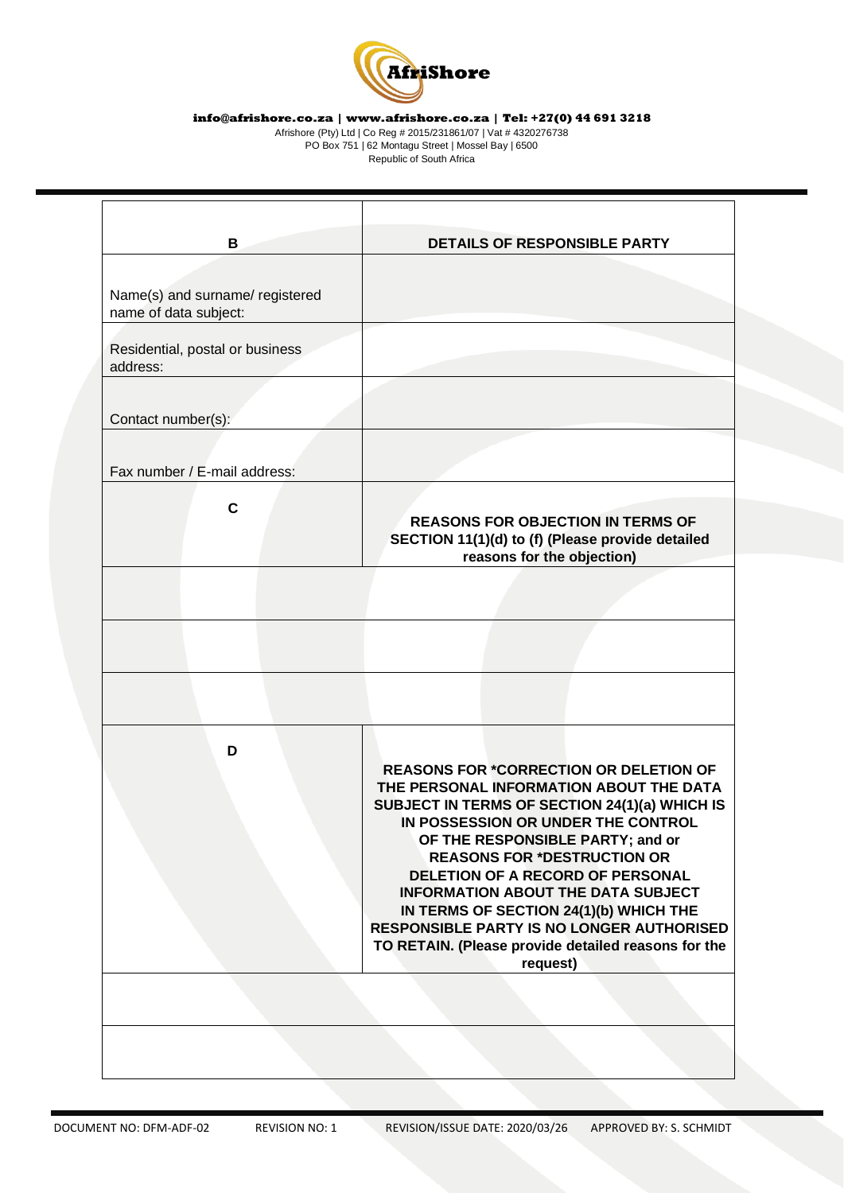

Afrishore (Pty) Ltd | Co Reg # 2015/231861/07 | Vat # 4320276738 PO Box 751 | 62 Montagu Street | Mossel Bay | 6500 Republic of South Africa

|                                                          | DETAILS OF RESPONSIBLE PARTY                                                                                                                                                                                                                                                                                                                                                                                                      |
|----------------------------------------------------------|-----------------------------------------------------------------------------------------------------------------------------------------------------------------------------------------------------------------------------------------------------------------------------------------------------------------------------------------------------------------------------------------------------------------------------------|
| Name(s) and surname/ registered<br>name of data subject: |                                                                                                                                                                                                                                                                                                                                                                                                                                   |
| Residential, postal or business<br>address:              |                                                                                                                                                                                                                                                                                                                                                                                                                                   |
| Contact number(s):                                       |                                                                                                                                                                                                                                                                                                                                                                                                                                   |
| Fax number / E-mail address:                             |                                                                                                                                                                                                                                                                                                                                                                                                                                   |
| $\mathbf c$                                              | <b>REASONS FOR OBJECTION IN TERMS OF</b><br>SECTION 11(1)(d) to (f) (Please provide detailed<br>reasons for the objection)                                                                                                                                                                                                                                                                                                        |
|                                                          |                                                                                                                                                                                                                                                                                                                                                                                                                                   |
|                                                          |                                                                                                                                                                                                                                                                                                                                                                                                                                   |
|                                                          |                                                                                                                                                                                                                                                                                                                                                                                                                                   |
| D                                                        | <b>REASONS FOR *CORRECTION OR DELETION OF</b><br>THE PERSONAL INFORMATION ABOUT THE DATA<br>SUBJECT IN TERMS OF SECTION 24(1)(a) WHICH IS<br>IN POSSESSION OR UNDER THE CONTROL<br>OF THE RESPONSIBLE PARTY; and or<br><b>REASONS FOR *DESTRUCTION OR</b><br>DELETION OF A RECORD OF PERSONAL<br><b>INFORMATION ABOUT THE DATA SUBJECT</b><br>IN TERMS OF SECTION 24(1)(b) WHICH THE<br>RESPONSIBLE PARTY IS NO LONGER AUTHORISED |